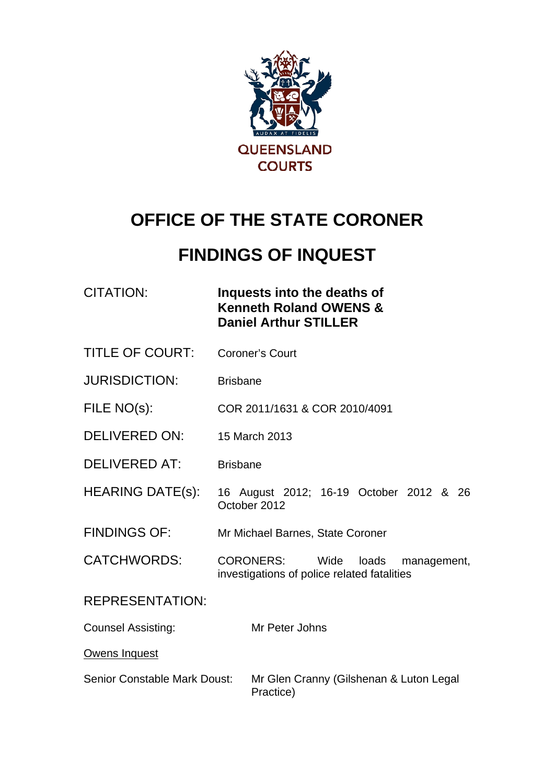

# **OFFICE OF THE STATE CORONER**

# **FINDINGS OF INQUEST**

| CITATION: | Inquests into the deaths of       |
|-----------|-----------------------------------|
|           | <b>Kenneth Roland OWENS &amp;</b> |
|           | <b>Daniel Arthur STILLER</b>      |

- TITLE OF COURT: Coroner's Court
- JURISDICTION: Brisbane
- FILE NO(s): COR 2011/1631 & COR 2010/4091
- DELIVERED ON: 15 March 2013
- DELIVERED AT: Brisbane
- HEARING DATE(s): 16 August 2012; 16-19 October 2012 & 26 October 2012
- FINDINGS OF: Mr Michael Barnes, State Coroner
- CATCHWORDS: CORONERS: Wide loads management, investigations of police related fatalities

#### REPRESENTATION:

- Counsel Assisting: Mr Peter Johns
- Owens Inquest
- Senior Constable Mark Doust: Mr Glen Cranny (Gilshenan & Luton Legal Practice)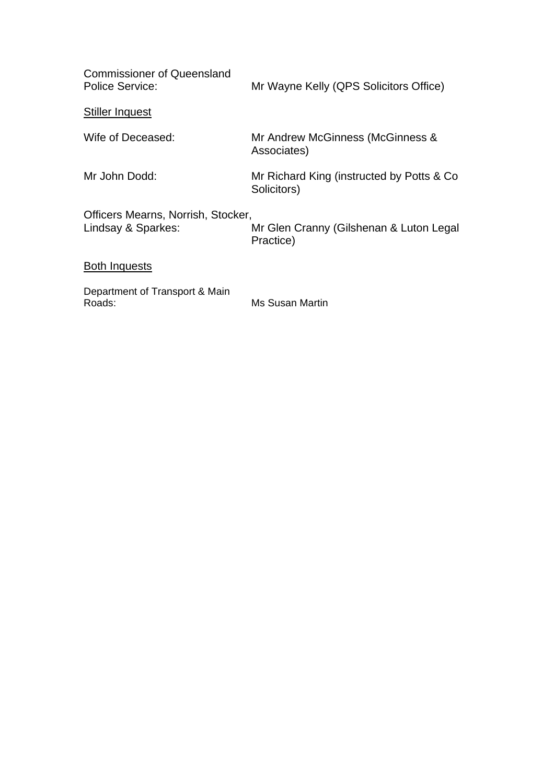| <b>Commissioner of Queensland</b><br><b>Police Service:</b> | Mr Wayne Kelly (QPS Solicitors Office)                    |
|-------------------------------------------------------------|-----------------------------------------------------------|
| <b>Stiller Inquest</b>                                      |                                                           |
| Wife of Deceased:                                           | Mr Andrew McGinness (McGinness &<br>Associates)           |
| Mr John Dodd:                                               | Mr Richard King (instructed by Potts & Co.<br>Solicitors) |
| Officers Mearns, Norrish, Stocker,<br>Lindsay & Sparkes:    | Mr Glen Cranny (Gilshenan & Luton Legal<br>Practice)      |
| Both Inquests                                               |                                                           |
| Department of Transport & Main<br>Roads:                    | Ms Susan Martin                                           |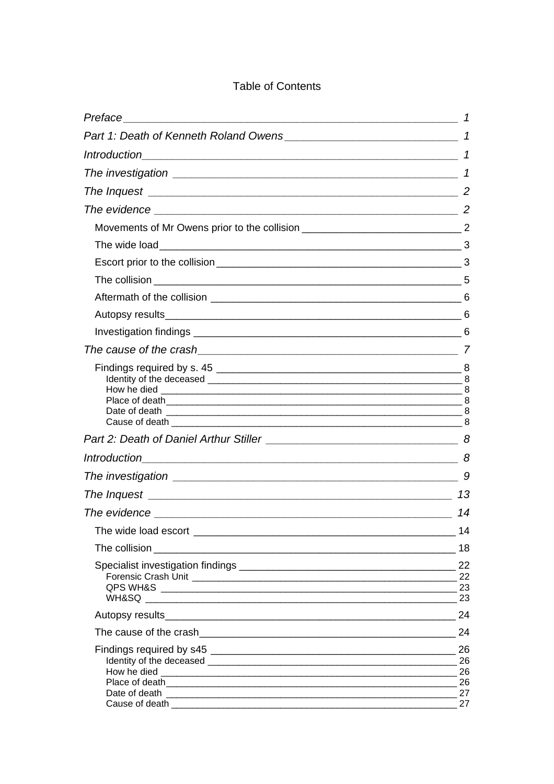#### **Table of Contents**

|                                                                                                                                                                                                                                      | 1              |
|--------------------------------------------------------------------------------------------------------------------------------------------------------------------------------------------------------------------------------------|----------------|
|                                                                                                                                                                                                                                      |                |
|                                                                                                                                                                                                                                      | 1              |
| The investigation <b>contract of the interval of the interval of the interval of the interval of the interval of the interval of the interval of the interval of the interval of the interval of the interval of the interval of</b> | $\mathcal I$   |
|                                                                                                                                                                                                                                      |                |
|                                                                                                                                                                                                                                      |                |
|                                                                                                                                                                                                                                      |                |
|                                                                                                                                                                                                                                      |                |
|                                                                                                                                                                                                                                      |                |
|                                                                                                                                                                                                                                      |                |
|                                                                                                                                                                                                                                      |                |
|                                                                                                                                                                                                                                      |                |
|                                                                                                                                                                                                                                      |                |
|                                                                                                                                                                                                                                      |                |
|                                                                                                                                                                                                                                      |                |
|                                                                                                                                                                                                                                      |                |
|                                                                                                                                                                                                                                      |                |
|                                                                                                                                                                                                                                      |                |
|                                                                                                                                                                                                                                      |                |
|                                                                                                                                                                                                                                      | 13             |
|                                                                                                                                                                                                                                      | 14             |
|                                                                                                                                                                                                                                      | 14             |
|                                                                                                                                                                                                                                      | 18             |
|                                                                                                                                                                                                                                      | 22             |
|                                                                                                                                                                                                                                      | 23             |
|                                                                                                                                                                                                                                      | 24             |
|                                                                                                                                                                                                                                      | 24             |
| Place of death <b>contract to the contract of the contract of the contract of the contract of the contract of the contract of the contract of the contract of the contract of the contract of the contract of the contract of th</b> | 26<br>26<br>26 |
|                                                                                                                                                                                                                                      | 27<br>27       |
|                                                                                                                                                                                                                                      |                |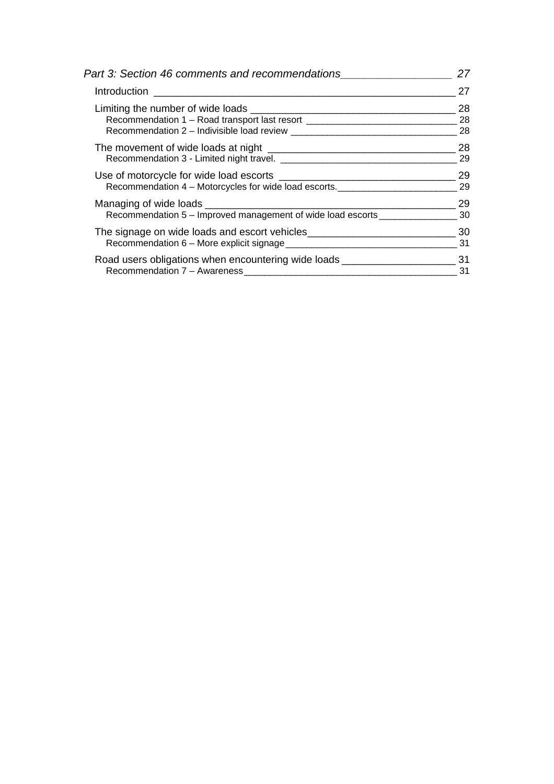| Part 3: Section 46 comments and recommendations                                      | 27 |  |
|--------------------------------------------------------------------------------------|----|--|
|                                                                                      | 27 |  |
|                                                                                      | 28 |  |
| Recommendation 1 - Road transport last resort __________________________________     | 28 |  |
|                                                                                      | 28 |  |
|                                                                                      | 28 |  |
|                                                                                      | 29 |  |
|                                                                                      | 29 |  |
| Recommendation 4 - Motorcycles for wide load escorts.                                | 29 |  |
|                                                                                      | 29 |  |
| Recommendation 5 - Improved management of wide load escorts ___________________      | 30 |  |
| The signage on wide loads and escort vehicles___________________________________     | 30 |  |
|                                                                                      | 31 |  |
| Road users obligations when encountering wide loads _____________________________ 31 |    |  |
|                                                                                      | 31 |  |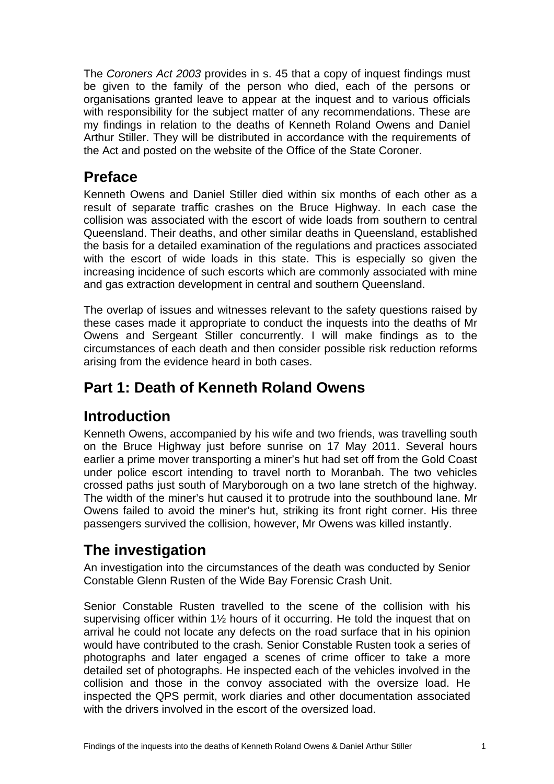<span id="page-4-0"></span>The *Coroners Act 2003* provides in s. 45 that a copy of inquest findings must be given to the family of the person who died, each of the persons or organisations granted leave to appear at the inquest and to various officials with responsibility for the subject matter of any recommendations. These are my findings in relation to the deaths of Kenneth Roland Owens and Daniel Arthur Stiller. They will be distributed in accordance with the requirements of the Act and posted on the website of the Office of the State Coroner.

# **Preface**

Kenneth Owens and Daniel Stiller died within six months of each other as a result of separate traffic crashes on the Bruce Highway. In each case the collision was associated with the escort of wide loads from southern to central Queensland. Their deaths, and other similar deaths in Queensland, established the basis for a detailed examination of the regulations and practices associated with the escort of wide loads in this state. This is especially so given the increasing incidence of such escorts which are commonly associated with mine and gas extraction development in central and southern Queensland.

The overlap of issues and witnesses relevant to the safety questions raised by these cases made it appropriate to conduct the inquests into the deaths of Mr Owens and Sergeant Stiller concurrently. I will make findings as to the circumstances of each death and then consider possible risk reduction reforms arising from the evidence heard in both cases.

# **Part 1: Death of Kenneth Roland Owens**

# **Introduction**

Kenneth Owens, accompanied by his wife and two friends, was travelling south on the Bruce Highway just before sunrise on 17 May 2011. Several hours earlier a prime mover transporting a miner's hut had set off from the Gold Coast under police escort intending to travel north to Moranbah. The two vehicles crossed paths just south of Maryborough on a two lane stretch of the highway. The width of the miner's hut caused it to protrude into the southbound lane. Mr Owens failed to avoid the miner's hut, striking its front right corner. His three passengers survived the collision, however, Mr Owens was killed instantly.

# **The investigation**

An investigation into the circumstances of the death was conducted by Senior Constable Glenn Rusten of the Wide Bay Forensic Crash Unit.

Senior Constable Rusten travelled to the scene of the collision with his supervising officer within 1½ hours of it occurring. He told the inquest that on arrival he could not locate any defects on the road surface that in his opinion would have contributed to the crash. Senior Constable Rusten took a series of photographs and later engaged a scenes of crime officer to take a more detailed set of photographs. He inspected each of the vehicles involved in the collision and those in the convoy associated with the oversize load. He inspected the QPS permit, work diaries and other documentation associated with the drivers involved in the escort of the oversized load.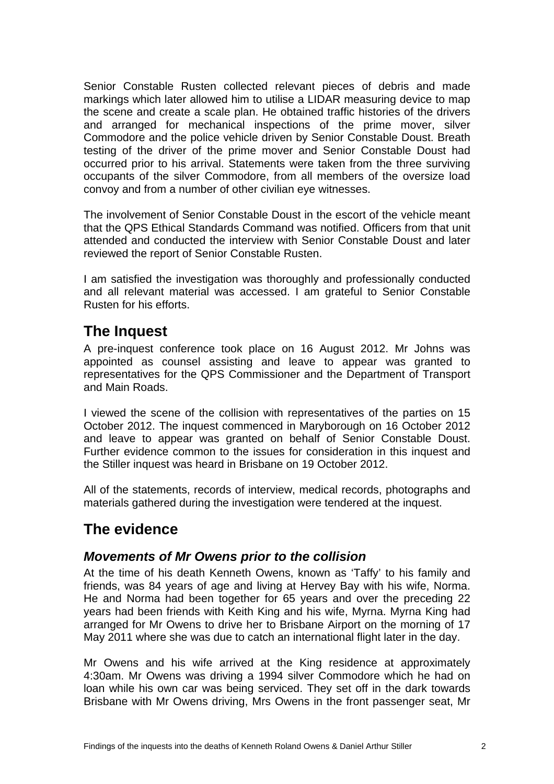<span id="page-5-0"></span>Senior Constable Rusten collected relevant pieces of debris and made markings which later allowed him to utilise a LIDAR measuring device to map the scene and create a scale plan. He obtained traffic histories of the drivers and arranged for mechanical inspections of the prime mover, silver Commodore and the police vehicle driven by Senior Constable Doust. Breath testing of the driver of the prime mover and Senior Constable Doust had occurred prior to his arrival. Statements were taken from the three surviving occupants of the silver Commodore, from all members of the oversize load convoy and from a number of other civilian eye witnesses.

The involvement of Senior Constable Doust in the escort of the vehicle meant that the QPS Ethical Standards Command was notified. Officers from that unit attended and conducted the interview with Senior Constable Doust and later reviewed the report of Senior Constable Rusten.

I am satisfied the investigation was thoroughly and professionally conducted and all relevant material was accessed. I am grateful to Senior Constable Rusten for his efforts.

# **The Inquest**

A pre-inquest conference took place on 16 August 2012. Mr Johns was appointed as counsel assisting and leave to appear was granted to representatives for the QPS Commissioner and the Department of Transport and Main Roads.

I viewed the scene of the collision with representatives of the parties on 15 October 2012. The inquest commenced in Maryborough on 16 October 2012 and leave to appear was granted on behalf of Senior Constable Doust. Further evidence common to the issues for consideration in this inquest and the Stiller inquest was heard in Brisbane on 19 October 2012.

All of the statements, records of interview, medical records, photographs and materials gathered during the investigation were tendered at the inquest.

# **The evidence**

#### *Movements of Mr Owens prior to the collision*

At the time of his death Kenneth Owens, known as 'Taffy' to his family and friends, was 84 years of age and living at Hervey Bay with his wife, Norma. He and Norma had been together for 65 years and over the preceding 22 years had been friends with Keith King and his wife, Myrna. Myrna King had arranged for Mr Owens to drive her to Brisbane Airport on the morning of 17 May 2011 where she was due to catch an international flight later in the day.

Mr Owens and his wife arrived at the King residence at approximately 4:30am. Mr Owens was driving a 1994 silver Commodore which he had on loan while his own car was being serviced. They set off in the dark towards Brisbane with Mr Owens driving, Mrs Owens in the front passenger seat, Mr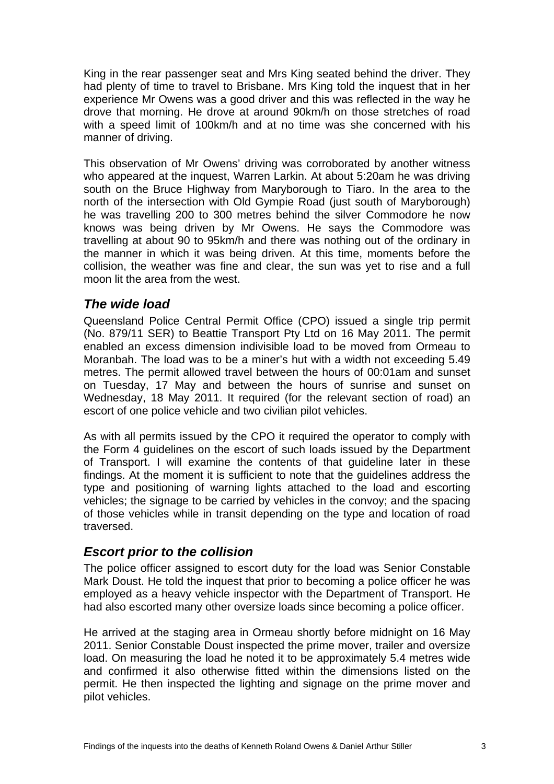<span id="page-6-0"></span>King in the rear passenger seat and Mrs King seated behind the driver. They had plenty of time to travel to Brisbane. Mrs King told the inquest that in her experience Mr Owens was a good driver and this was reflected in the way he drove that morning. He drove at around 90km/h on those stretches of road with a speed limit of 100km/h and at no time was she concerned with his manner of driving.

This observation of Mr Owens' driving was corroborated by another witness who appeared at the inquest, Warren Larkin. At about 5:20am he was driving south on the Bruce Highway from Maryborough to Tiaro. In the area to the north of the intersection with Old Gympie Road (just south of Maryborough) he was travelling 200 to 300 metres behind the silver Commodore he now knows was being driven by Mr Owens. He says the Commodore was travelling at about 90 to 95km/h and there was nothing out of the ordinary in the manner in which it was being driven. At this time, moments before the collision, the weather was fine and clear, the sun was yet to rise and a full moon lit the area from the west.

#### *The wide load*

Queensland Police Central Permit Office (CPO) issued a single trip permit (No. 879/11 SER) to Beattie Transport Pty Ltd on 16 May 2011. The permit enabled an excess dimension indivisible load to be moved from Ormeau to Moranbah. The load was to be a miner's hut with a width not exceeding 5.49 metres. The permit allowed travel between the hours of 00:01am and sunset on Tuesday, 17 May and between the hours of sunrise and sunset on Wednesday, 18 May 2011. It required (for the relevant section of road) an escort of one police vehicle and two civilian pilot vehicles.

As with all permits issued by the CPO it required the operator to comply with the Form 4 guidelines on the escort of such loads issued by the Department of Transport. I will examine the contents of that guideline later in these findings. At the moment it is sufficient to note that the guidelines address the type and positioning of warning lights attached to the load and escorting vehicles; the signage to be carried by vehicles in the convoy; and the spacing of those vehicles while in transit depending on the type and location of road traversed.

#### *Escort prior to the collision*

The police officer assigned to escort duty for the load was Senior Constable Mark Doust. He told the inquest that prior to becoming a police officer he was employed as a heavy vehicle inspector with the Department of Transport. He had also escorted many other oversize loads since becoming a police officer.

He arrived at the staging area in Ormeau shortly before midnight on 16 May 2011. Senior Constable Doust inspected the prime mover, trailer and oversize load. On measuring the load he noted it to be approximately 5.4 metres wide and confirmed it also otherwise fitted within the dimensions listed on the permit. He then inspected the lighting and signage on the prime mover and pilot vehicles.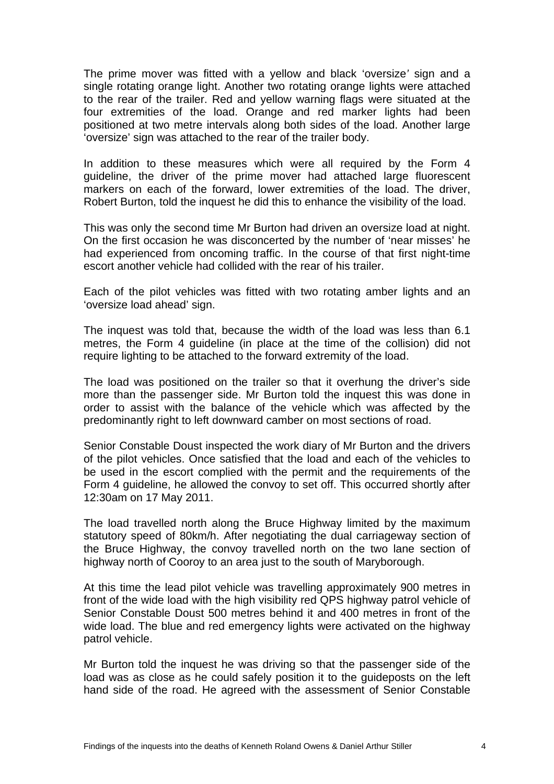The prime mover was fitted with a yellow and black 'oversize*'* sign and a single rotating orange light. Another two rotating orange lights were attached to the rear of the trailer. Red and yellow warning flags were situated at the four extremities of the load. Orange and red marker lights had been positioned at two metre intervals along both sides of the load. Another large 'oversize' sign was attached to the rear of the trailer body.

In addition to these measures which were all required by the Form 4 guideline, the driver of the prime mover had attached large fluorescent markers on each of the forward, lower extremities of the load. The driver, Robert Burton, told the inquest he did this to enhance the visibility of the load.

This was only the second time Mr Burton had driven an oversize load at night. On the first occasion he was disconcerted by the number of 'near misses' he had experienced from oncoming traffic. In the course of that first night-time escort another vehicle had collided with the rear of his trailer.

Each of the pilot vehicles was fitted with two rotating amber lights and an 'oversize load ahead' sign.

The inquest was told that, because the width of the load was less than 6.1 metres, the Form 4 guideline (in place at the time of the collision) did not require lighting to be attached to the forward extremity of the load.

The load was positioned on the trailer so that it overhung the driver's side more than the passenger side. Mr Burton told the inquest this was done in order to assist with the balance of the vehicle which was affected by the predominantly right to left downward camber on most sections of road.

Senior Constable Doust inspected the work diary of Mr Burton and the drivers of the pilot vehicles. Once satisfied that the load and each of the vehicles to be used in the escort complied with the permit and the requirements of the Form 4 guideline, he allowed the convoy to set off. This occurred shortly after 12:30am on 17 May 2011.

The load travelled north along the Bruce Highway limited by the maximum statutory speed of 80km/h. After negotiating the dual carriageway section of the Bruce Highway, the convoy travelled north on the two lane section of highway north of Cooroy to an area just to the south of Maryborough.

At this time the lead pilot vehicle was travelling approximately 900 metres in front of the wide load with the high visibility red QPS highway patrol vehicle of Senior Constable Doust 500 metres behind it and 400 metres in front of the wide load. The blue and red emergency lights were activated on the highway patrol vehicle.

Mr Burton told the inquest he was driving so that the passenger side of the load was as close as he could safely position it to the guideposts on the left hand side of the road. He agreed with the assessment of Senior Constable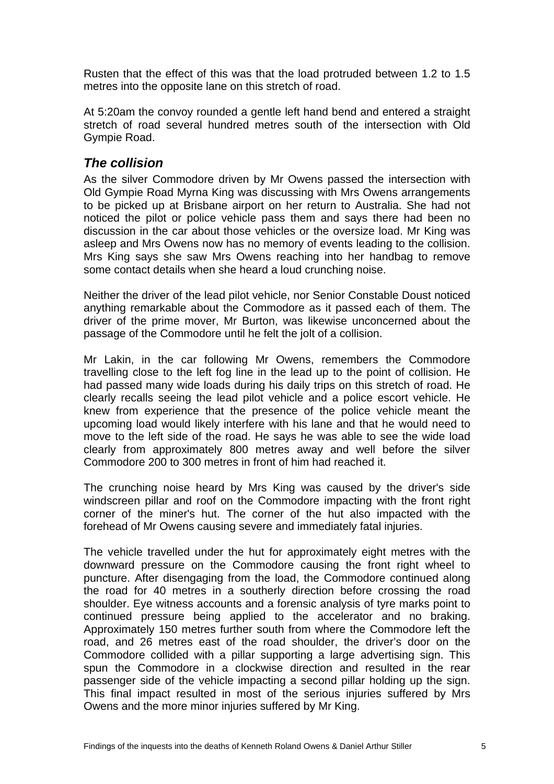<span id="page-8-0"></span>Rusten that the effect of this was that the load protruded between 1.2 to 1.5 metres into the opposite lane on this stretch of road.

At 5:20am the convoy rounded a gentle left hand bend and entered a straight stretch of road several hundred metres south of the intersection with Old Gympie Road.

#### *The collision*

As the silver Commodore driven by Mr Owens passed the intersection with Old Gympie Road Myrna King was discussing with Mrs Owens arrangements to be picked up at Brisbane airport on her return to Australia. She had not noticed the pilot or police vehicle pass them and says there had been no discussion in the car about those vehicles or the oversize load. Mr King was asleep and Mrs Owens now has no memory of events leading to the collision. Mrs King says she saw Mrs Owens reaching into her handbag to remove some contact details when she heard a loud crunching noise.

Neither the driver of the lead pilot vehicle, nor Senior Constable Doust noticed anything remarkable about the Commodore as it passed each of them. The driver of the prime mover, Mr Burton, was likewise unconcerned about the passage of the Commodore until he felt the jolt of a collision.

Mr Lakin, in the car following Mr Owens, remembers the Commodore travelling close to the left fog line in the lead up to the point of collision. He had passed many wide loads during his daily trips on this stretch of road. He clearly recalls seeing the lead pilot vehicle and a police escort vehicle. He knew from experience that the presence of the police vehicle meant the upcoming load would likely interfere with his lane and that he would need to move to the left side of the road. He says he was able to see the wide load clearly from approximately 800 metres away and well before the silver Commodore 200 to 300 metres in front of him had reached it.

The crunching noise heard by Mrs King was caused by the driver's side windscreen pillar and roof on the Commodore impacting with the front right corner of the miner's hut. The corner of the hut also impacted with the forehead of Mr Owens causing severe and immediately fatal injuries.

The vehicle travelled under the hut for approximately eight metres with the downward pressure on the Commodore causing the front right wheel to puncture. After disengaging from the load, the Commodore continued along the road for 40 metres in a southerly direction before crossing the road shoulder. Eye witness accounts and a forensic analysis of tyre marks point to continued pressure being applied to the accelerator and no braking. Approximately 150 metres further south from where the Commodore left the road, and 26 metres east of the road shoulder, the driver's door on the Commodore collided with a pillar supporting a large advertising sign. This spun the Commodore in a clockwise direction and resulted in the rear passenger side of the vehicle impacting a second pillar holding up the sign. This final impact resulted in most of the serious injuries suffered by Mrs Owens and the more minor injuries suffered by Mr King.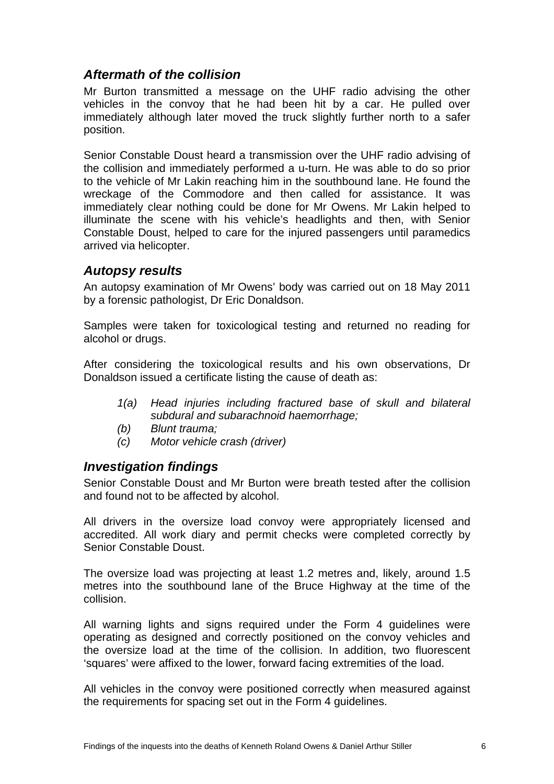#### <span id="page-9-0"></span>*Aftermath of the collision*

Mr Burton transmitted a message on the UHF radio advising the other vehicles in the convoy that he had been hit by a car. He pulled over immediately although later moved the truck slightly further north to a safer position.

Senior Constable Doust heard a transmission over the UHF radio advising of the collision and immediately performed a u-turn. He was able to do so prior to the vehicle of Mr Lakin reaching him in the southbound lane. He found the wreckage of the Commodore and then called for assistance. It was immediately clear nothing could be done for Mr Owens. Mr Lakin helped to illuminate the scene with his vehicle's headlights and then, with Senior Constable Doust, helped to care for the injured passengers until paramedics arrived via helicopter.

#### *Autopsy results*

An autopsy examination of Mr Owens' body was carried out on 18 May 2011 by a forensic pathologist, Dr Eric Donaldson.

Samples were taken for toxicological testing and returned no reading for alcohol or drugs.

After considering the toxicological results and his own observations, Dr Donaldson issued a certificate listing the cause of death as:

- *1(a) Head injuries including fractured base of skull and bilateral subdural and subarachnoid haemorrhage;*
- *(b) Blunt trauma;*
- *(c) Motor vehicle crash (driver)*

#### *Investigation findings*

Senior Constable Doust and Mr Burton were breath tested after the collision and found not to be affected by alcohol.

All drivers in the oversize load convoy were appropriately licensed and accredited. All work diary and permit checks were completed correctly by Senior Constable Doust.

The oversize load was projecting at least 1.2 metres and, likely, around 1.5 metres into the southbound lane of the Bruce Highway at the time of the collision.

All warning lights and signs required under the Form 4 guidelines were operating as designed and correctly positioned on the convoy vehicles and the oversize load at the time of the collision. In addition, two fluorescent 'squares' were affixed to the lower, forward facing extremities of the load.

All vehicles in the convoy were positioned correctly when measured against the requirements for spacing set out in the Form 4 guidelines.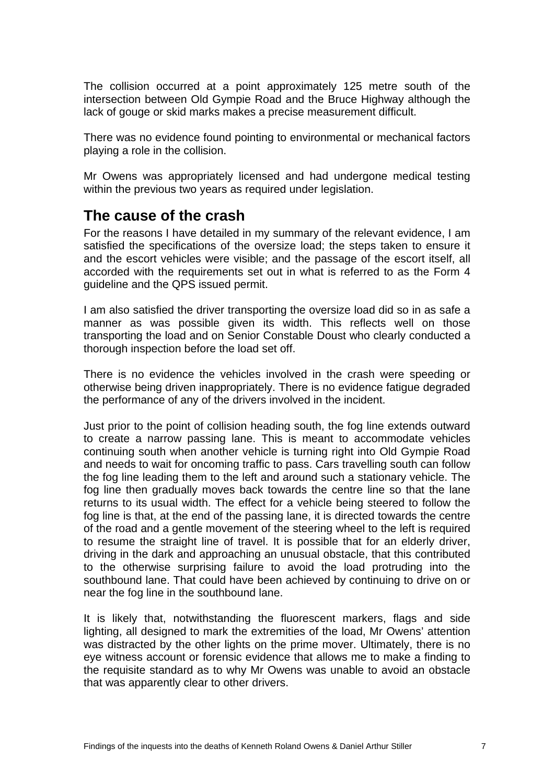<span id="page-10-0"></span>The collision occurred at a point approximately 125 metre south of the intersection between Old Gympie Road and the Bruce Highway although the lack of gouge or skid marks makes a precise measurement difficult.

There was no evidence found pointing to environmental or mechanical factors playing a role in the collision.

Mr Owens was appropriately licensed and had undergone medical testing within the previous two vears as required under legislation.

#### **The cause of the crash**

For the reasons I have detailed in my summary of the relevant evidence, I am satisfied the specifications of the oversize load; the steps taken to ensure it and the escort vehicles were visible; and the passage of the escort itself, all accorded with the requirements set out in what is referred to as the Form 4 guideline and the QPS issued permit.

I am also satisfied the driver transporting the oversize load did so in as safe a manner as was possible given its width. This reflects well on those transporting the load and on Senior Constable Doust who clearly conducted a thorough inspection before the load set off.

There is no evidence the vehicles involved in the crash were speeding or otherwise being driven inappropriately. There is no evidence fatigue degraded the performance of any of the drivers involved in the incident.

Just prior to the point of collision heading south, the fog line extends outward to create a narrow passing lane. This is meant to accommodate vehicles continuing south when another vehicle is turning right into Old Gympie Road and needs to wait for oncoming traffic to pass. Cars travelling south can follow the fog line leading them to the left and around such a stationary vehicle. The fog line then gradually moves back towards the centre line so that the lane returns to its usual width. The effect for a vehicle being steered to follow the fog line is that, at the end of the passing lane, it is directed towards the centre of the road and a gentle movement of the steering wheel to the left is required to resume the straight line of travel. It is possible that for an elderly driver, driving in the dark and approaching an unusual obstacle, that this contributed to the otherwise surprising failure to avoid the load protruding into the southbound lane. That could have been achieved by continuing to drive on or near the fog line in the southbound lane.

It is likely that, notwithstanding the fluorescent markers, flags and side lighting, all designed to mark the extremities of the load, Mr Owens' attention was distracted by the other lights on the prime mover. Ultimately, there is no eye witness account or forensic evidence that allows me to make a finding to the requisite standard as to why Mr Owens was unable to avoid an obstacle that was apparently clear to other drivers.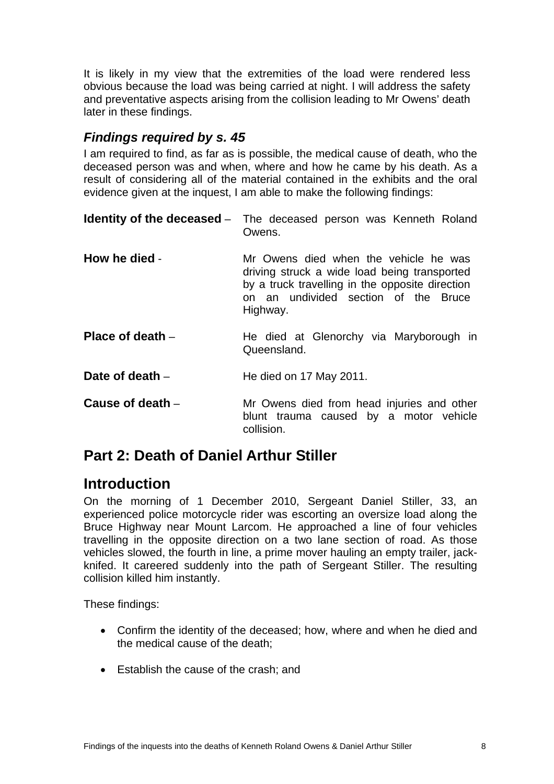<span id="page-11-0"></span>It is likely in my view that the extremities of the load were rendered less obvious because the load was being carried at night. I will address the safety and preventative aspects arising from the collision leading to Mr Owens' death later in these findings.

#### *Findings required by s. 45*

I am required to find, as far as is possible, the medical cause of death, who the deceased person was and when, where and how he came by his death. As a result of considering all of the material contained in the exhibits and the oral evidence given at the inquest, I am able to make the following findings:

|                    | <b>Identity of the deceased</b> – The deceased person was Kenneth Roland<br>Owens.                                                                                                           |
|--------------------|----------------------------------------------------------------------------------------------------------------------------------------------------------------------------------------------|
| How he died -      | Mr Owens died when the vehicle he was<br>driving struck a wide load being transported<br>by a truck travelling in the opposite direction<br>on an undivided section of the Bruce<br>Highway. |
| Place of death $-$ | He died at Glenorchy via Maryborough in<br>Queensland.                                                                                                                                       |
| Date of death $-$  | He died on 17 May 2011.                                                                                                                                                                      |
| Cause of death $-$ | Mr Owens died from head injuries and other<br>blunt trauma caused by a motor vehicle<br>collision.                                                                                           |

# **Part 2: Death of Daniel Arthur Stiller**

# **Introduction**

On the morning of 1 December 2010, Sergeant Daniel Stiller, 33, an experienced police motorcycle rider was escorting an oversize load along the Bruce Highway near Mount Larcom. He approached a line of four vehicles travelling in the opposite direction on a two lane section of road. As those vehicles slowed, the fourth in line, a prime mover hauling an empty trailer, jackknifed. It careered suddenly into the path of Sergeant Stiller. The resulting collision killed him instantly.

These findings:

- Confirm the identity of the deceased; how, where and when he died and the medical cause of the death;
- Establish the cause of the crash; and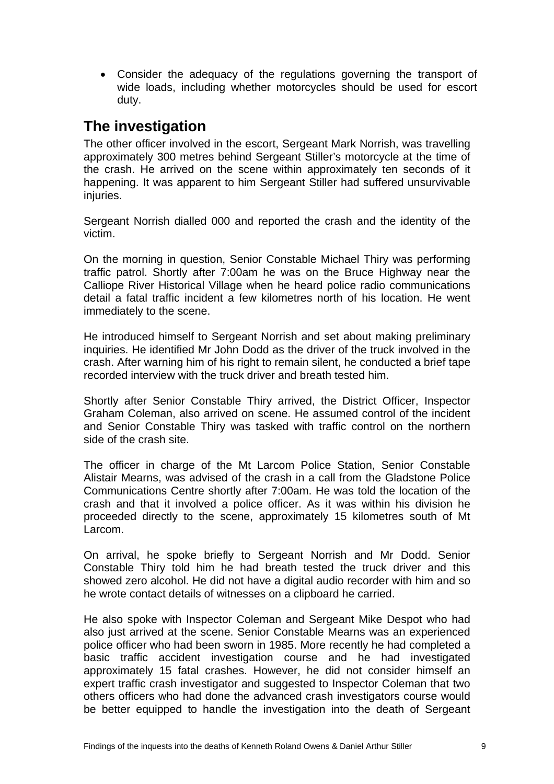<span id="page-12-0"></span>• Consider the adequacy of the regulations governing the transport of wide loads, including whether motorcycles should be used for escort duty.

# **The investigation**

The other officer involved in the escort, Sergeant Mark Norrish, was travelling approximately 300 metres behind Sergeant Stiller's motorcycle at the time of the crash. He arrived on the scene within approximately ten seconds of it happening. It was apparent to him Sergeant Stiller had suffered unsurvivable injuries.

Sergeant Norrish dialled 000 and reported the crash and the identity of the victim.

On the morning in question, Senior Constable Michael Thiry was performing traffic patrol. Shortly after 7:00am he was on the Bruce Highway near the Calliope River Historical Village when he heard police radio communications detail a fatal traffic incident a few kilometres north of his location. He went immediately to the scene.

He introduced himself to Sergeant Norrish and set about making preliminary inquiries. He identified Mr John Dodd as the driver of the truck involved in the crash. After warning him of his right to remain silent, he conducted a brief tape recorded interview with the truck driver and breath tested him.

Shortly after Senior Constable Thiry arrived, the District Officer, Inspector Graham Coleman, also arrived on scene. He assumed control of the incident and Senior Constable Thiry was tasked with traffic control on the northern side of the crash site.

The officer in charge of the Mt Larcom Police Station, Senior Constable Alistair Mearns, was advised of the crash in a call from the Gladstone Police Communications Centre shortly after 7:00am. He was told the location of the crash and that it involved a police officer. As it was within his division he proceeded directly to the scene, approximately 15 kilometres south of Mt Larcom.

On arrival, he spoke briefly to Sergeant Norrish and Mr Dodd. Senior Constable Thiry told him he had breath tested the truck driver and this showed zero alcohol. He did not have a digital audio recorder with him and so he wrote contact details of witnesses on a clipboard he carried.

He also spoke with Inspector Coleman and Sergeant Mike Despot who had also just arrived at the scene. Senior Constable Mearns was an experienced police officer who had been sworn in 1985. More recently he had completed a basic traffic accident investigation course and he had investigated approximately 15 fatal crashes. However, he did not consider himself an expert traffic crash investigator and suggested to Inspector Coleman that two others officers who had done the advanced crash investigators course would be better equipped to handle the investigation into the death of Sergeant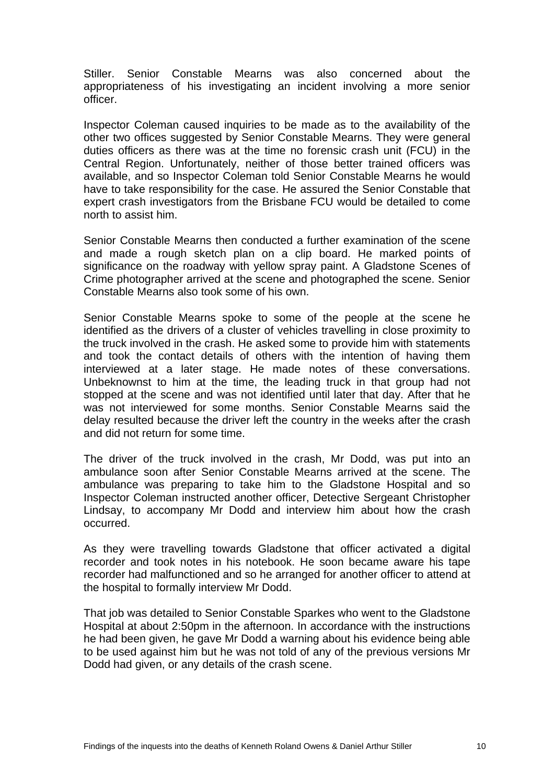Stiller. Senior Constable Mearns was also concerned about the appropriateness of his investigating an incident involving a more senior officer.

Inspector Coleman caused inquiries to be made as to the availability of the other two offices suggested by Senior Constable Mearns. They were general duties officers as there was at the time no forensic crash unit (FCU) in the Central Region. Unfortunately, neither of those better trained officers was available, and so Inspector Coleman told Senior Constable Mearns he would have to take responsibility for the case. He assured the Senior Constable that expert crash investigators from the Brisbane FCU would be detailed to come north to assist him.

Senior Constable Mearns then conducted a further examination of the scene and made a rough sketch plan on a clip board. He marked points of significance on the roadway with yellow spray paint. A Gladstone Scenes of Crime photographer arrived at the scene and photographed the scene. Senior Constable Mearns also took some of his own.

Senior Constable Mearns spoke to some of the people at the scene he identified as the drivers of a cluster of vehicles travelling in close proximity to the truck involved in the crash. He asked some to provide him with statements and took the contact details of others with the intention of having them interviewed at a later stage. He made notes of these conversations. Unbeknownst to him at the time, the leading truck in that group had not stopped at the scene and was not identified until later that day. After that he was not interviewed for some months. Senior Constable Mearns said the delay resulted because the driver left the country in the weeks after the crash and did not return for some time.

The driver of the truck involved in the crash, Mr Dodd, was put into an ambulance soon after Senior Constable Mearns arrived at the scene. The ambulance was preparing to take him to the Gladstone Hospital and so Inspector Coleman instructed another officer, Detective Sergeant Christopher Lindsay, to accompany Mr Dodd and interview him about how the crash occurred.

As they were travelling towards Gladstone that officer activated a digital recorder and took notes in his notebook. He soon became aware his tape recorder had malfunctioned and so he arranged for another officer to attend at the hospital to formally interview Mr Dodd.

That job was detailed to Senior Constable Sparkes who went to the Gladstone Hospital at about 2:50pm in the afternoon. In accordance with the instructions he had been given, he gave Mr Dodd a warning about his evidence being able to be used against him but he was not told of any of the previous versions Mr Dodd had given, or any details of the crash scene.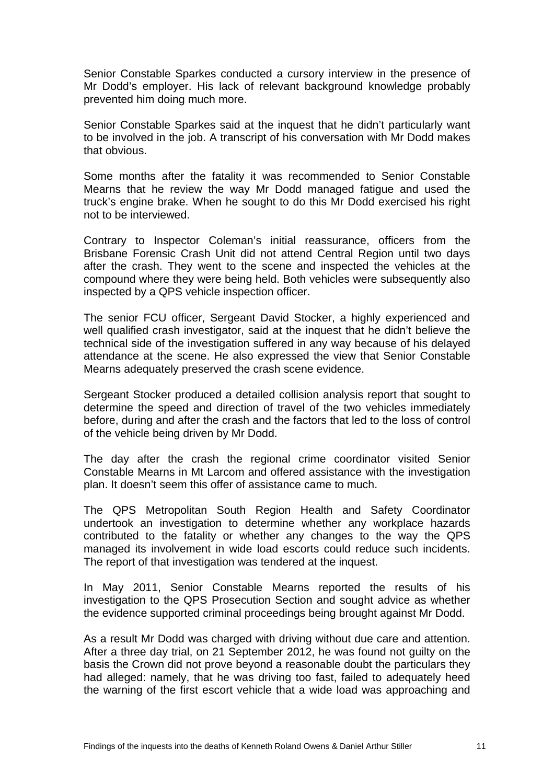Senior Constable Sparkes conducted a cursory interview in the presence of Mr Dodd's employer. His lack of relevant background knowledge probably prevented him doing much more.

Senior Constable Sparkes said at the inquest that he didn't particularly want to be involved in the job. A transcript of his conversation with Mr Dodd makes that obvious.

Some months after the fatality it was recommended to Senior Constable Mearns that he review the way Mr Dodd managed fatigue and used the truck's engine brake. When he sought to do this Mr Dodd exercised his right not to be interviewed.

Contrary to Inspector Coleman's initial reassurance, officers from the Brisbane Forensic Crash Unit did not attend Central Region until two days after the crash. They went to the scene and inspected the vehicles at the compound where they were being held. Both vehicles were subsequently also inspected by a QPS vehicle inspection officer.

The senior FCU officer, Sergeant David Stocker, a highly experienced and well qualified crash investigator, said at the inquest that he didn't believe the technical side of the investigation suffered in any way because of his delayed attendance at the scene. He also expressed the view that Senior Constable Mearns adequately preserved the crash scene evidence.

Sergeant Stocker produced a detailed collision analysis report that sought to determine the speed and direction of travel of the two vehicles immediately before, during and after the crash and the factors that led to the loss of control of the vehicle being driven by Mr Dodd.

The day after the crash the regional crime coordinator visited Senior Constable Mearns in Mt Larcom and offered assistance with the investigation plan. It doesn't seem this offer of assistance came to much.

The QPS Metropolitan South Region Health and Safety Coordinator undertook an investigation to determine whether any workplace hazards contributed to the fatality or whether any changes to the way the QPS managed its involvement in wide load escorts could reduce such incidents. The report of that investigation was tendered at the inquest.

In May 2011, Senior Constable Mearns reported the results of his investigation to the QPS Prosecution Section and sought advice as whether the evidence supported criminal proceedings being brought against Mr Dodd.

As a result Mr Dodd was charged with driving without due care and attention. After a three day trial, on 21 September 2012, he was found not guilty on the basis the Crown did not prove beyond a reasonable doubt the particulars they had alleged: namely, that he was driving too fast, failed to adequately heed the warning of the first escort vehicle that a wide load was approaching and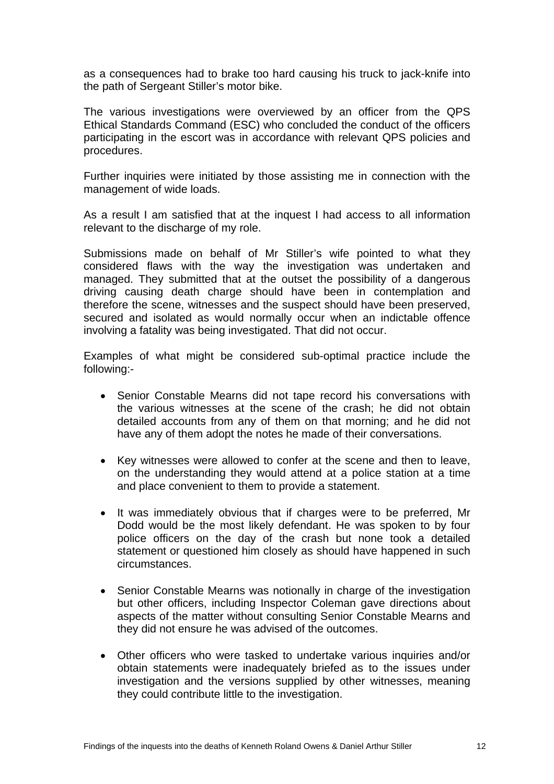as a consequences had to brake too hard causing his truck to jack-knife into the path of Sergeant Stiller's motor bike.

The various investigations were overviewed by an officer from the QPS Ethical Standards Command (ESC) who concluded the conduct of the officers participating in the escort was in accordance with relevant QPS policies and procedures.

Further inquiries were initiated by those assisting me in connection with the management of wide loads.

As a result I am satisfied that at the inquest I had access to all information relevant to the discharge of my role.

Submissions made on behalf of Mr Stiller's wife pointed to what they considered flaws with the way the investigation was undertaken and managed. They submitted that at the outset the possibility of a dangerous driving causing death charge should have been in contemplation and therefore the scene, witnesses and the suspect should have been preserved, secured and isolated as would normally occur when an indictable offence involving a fatality was being investigated. That did not occur.

Examples of what might be considered sub-optimal practice include the following:-

- Senior Constable Mearns did not tape record his conversations with the various witnesses at the scene of the crash; he did not obtain detailed accounts from any of them on that morning; and he did not have any of them adopt the notes he made of their conversations.
- Key witnesses were allowed to confer at the scene and then to leave, on the understanding they would attend at a police station at a time and place convenient to them to provide a statement.
- It was immediately obvious that if charges were to be preferred, Mr Dodd would be the most likely defendant. He was spoken to by four police officers on the day of the crash but none took a detailed statement or questioned him closely as should have happened in such circumstances.
- Senior Constable Mearns was notionally in charge of the investigation but other officers, including Inspector Coleman gave directions about aspects of the matter without consulting Senior Constable Mearns and they did not ensure he was advised of the outcomes.
- Other officers who were tasked to undertake various inquiries and/or obtain statements were inadequately briefed as to the issues under investigation and the versions supplied by other witnesses, meaning they could contribute little to the investigation.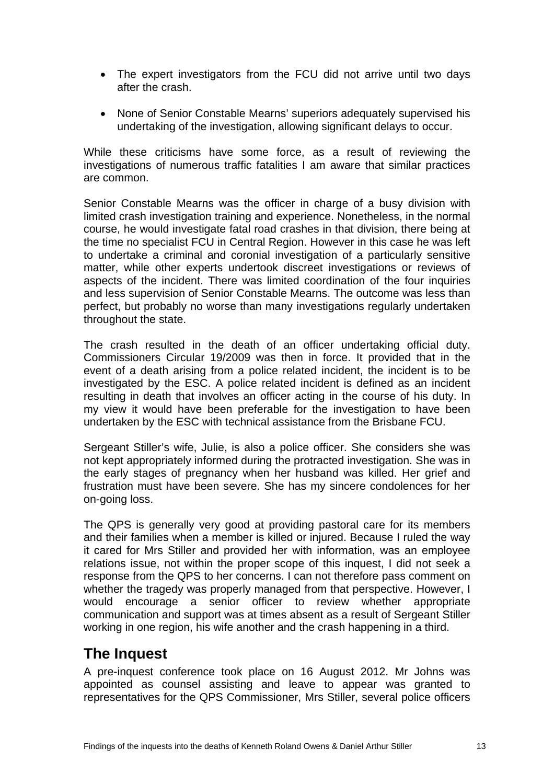- <span id="page-16-0"></span>• The expert investigators from the FCU did not arrive until two days after the crash.
- None of Senior Constable Mearns' superiors adequately supervised his undertaking of the investigation, allowing significant delays to occur.

While these criticisms have some force, as a result of reviewing the investigations of numerous traffic fatalities I am aware that similar practices are common.

Senior Constable Mearns was the officer in charge of a busy division with limited crash investigation training and experience. Nonetheless, in the normal course, he would investigate fatal road crashes in that division, there being at the time no specialist FCU in Central Region. However in this case he was left to undertake a criminal and coronial investigation of a particularly sensitive matter, while other experts undertook discreet investigations or reviews of aspects of the incident. There was limited coordination of the four inquiries and less supervision of Senior Constable Mearns. The outcome was less than perfect, but probably no worse than many investigations regularly undertaken throughout the state.

The crash resulted in the death of an officer undertaking official duty. Commissioners Circular 19/2009 was then in force. It provided that in the event of a death arising from a police related incident, the incident is to be investigated by the ESC. A police related incident is defined as an incident resulting in death that involves an officer acting in the course of his duty. In my view it would have been preferable for the investigation to have been undertaken by the ESC with technical assistance from the Brisbane FCU.

Sergeant Stiller's wife, Julie, is also a police officer. She considers she was not kept appropriately informed during the protracted investigation. She was in the early stages of pregnancy when her husband was killed. Her grief and frustration must have been severe. She has my sincere condolences for her on-going loss.

The QPS is generally very good at providing pastoral care for its members and their families when a member is killed or injured. Because I ruled the way it cared for Mrs Stiller and provided her with information, was an employee relations issue, not within the proper scope of this inquest, I did not seek a response from the QPS to her concerns. I can not therefore pass comment on whether the tragedy was properly managed from that perspective. However, I would encourage a senior officer to review whether appropriate communication and support was at times absent as a result of Sergeant Stiller working in one region, his wife another and the crash happening in a third.

# **The Inquest**

A pre-inquest conference took place on 16 August 2012. Mr Johns was appointed as counsel assisting and leave to appear was granted to representatives for the QPS Commissioner, Mrs Stiller, several police officers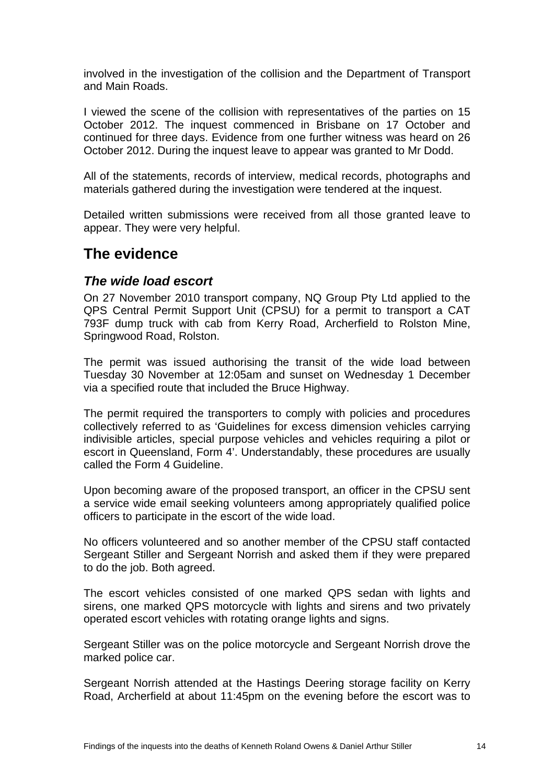<span id="page-17-0"></span>involved in the investigation of the collision and the Department of Transport and Main Roads.

I viewed the scene of the collision with representatives of the parties on 15 October 2012. The inquest commenced in Brisbane on 17 October and continued for three days. Evidence from one further witness was heard on 26 October 2012. During the inquest leave to appear was granted to Mr Dodd.

All of the statements, records of interview, medical records, photographs and materials gathered during the investigation were tendered at the inquest.

Detailed written submissions were received from all those granted leave to appear. They were very helpful.

### **The evidence**

#### *The wide load escort*

On 27 November 2010 transport company, NQ Group Pty Ltd applied to the QPS Central Permit Support Unit (CPSU) for a permit to transport a CAT 793F dump truck with cab from Kerry Road, Archerfield to Rolston Mine, Springwood Road, Rolston.

The permit was issued authorising the transit of the wide load between Tuesday 30 November at 12:05am and sunset on Wednesday 1 December via a specified route that included the Bruce Highway.

The permit required the transporters to comply with policies and procedures collectively referred to as 'Guidelines for excess dimension vehicles carrying indivisible articles, special purpose vehicles and vehicles requiring a pilot or escort in Queensland, Form 4'. Understandably, these procedures are usually called the Form 4 Guideline.

Upon becoming aware of the proposed transport, an officer in the CPSU sent a service wide email seeking volunteers among appropriately qualified police officers to participate in the escort of the wide load.

No officers volunteered and so another member of the CPSU staff contacted Sergeant Stiller and Sergeant Norrish and asked them if they were prepared to do the job. Both agreed.

The escort vehicles consisted of one marked QPS sedan with lights and sirens, one marked QPS motorcycle with lights and sirens and two privately operated escort vehicles with rotating orange lights and signs.

Sergeant Stiller was on the police motorcycle and Sergeant Norrish drove the marked police car.

Sergeant Norrish attended at the Hastings Deering storage facility on Kerry Road, Archerfield at about 11:45pm on the evening before the escort was to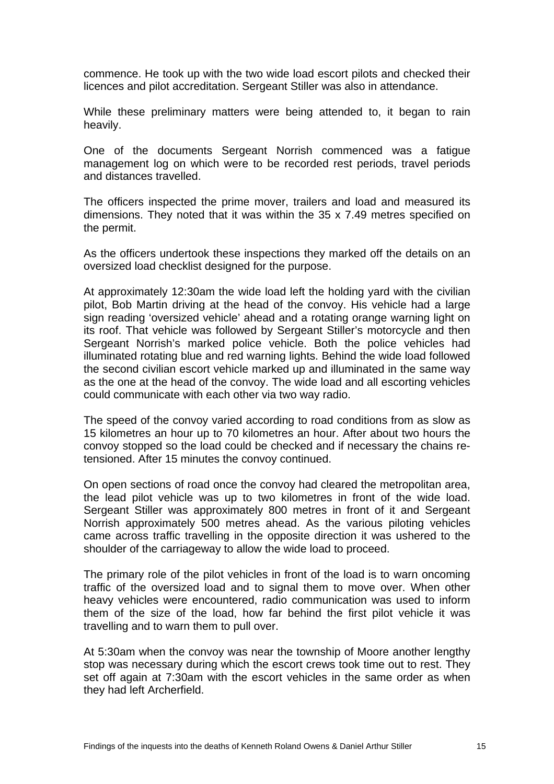commence. He took up with the two wide load escort pilots and checked their licences and pilot accreditation. Sergeant Stiller was also in attendance.

While these preliminary matters were being attended to, it began to rain heavily.

One of the documents Sergeant Norrish commenced was a fatigue management log on which were to be recorded rest periods, travel periods and distances travelled.

The officers inspected the prime mover, trailers and load and measured its dimensions. They noted that it was within the 35 x 7.49 metres specified on the permit.

As the officers undertook these inspections they marked off the details on an oversized load checklist designed for the purpose.

At approximately 12:30am the wide load left the holding yard with the civilian pilot, Bob Martin driving at the head of the convoy. His vehicle had a large sign reading 'oversized vehicle' ahead and a rotating orange warning light on its roof. That vehicle was followed by Sergeant Stiller's motorcycle and then Sergeant Norrish's marked police vehicle. Both the police vehicles had illuminated rotating blue and red warning lights. Behind the wide load followed the second civilian escort vehicle marked up and illuminated in the same way as the one at the head of the convoy. The wide load and all escorting vehicles could communicate with each other via two way radio.

The speed of the convoy varied according to road conditions from as slow as 15 kilometres an hour up to 70 kilometres an hour. After about two hours the convoy stopped so the load could be checked and if necessary the chains retensioned. After 15 minutes the convoy continued.

On open sections of road once the convoy had cleared the metropolitan area, the lead pilot vehicle was up to two kilometres in front of the wide load. Sergeant Stiller was approximately 800 metres in front of it and Sergeant Norrish approximately 500 metres ahead. As the various piloting vehicles came across traffic travelling in the opposite direction it was ushered to the shoulder of the carriageway to allow the wide load to proceed.

The primary role of the pilot vehicles in front of the load is to warn oncoming traffic of the oversized load and to signal them to move over. When other heavy vehicles were encountered, radio communication was used to inform them of the size of the load, how far behind the first pilot vehicle it was travelling and to warn them to pull over.

At 5:30am when the convoy was near the township of Moore another lengthy stop was necessary during which the escort crews took time out to rest. They set off again at 7:30am with the escort vehicles in the same order as when they had left Archerfield.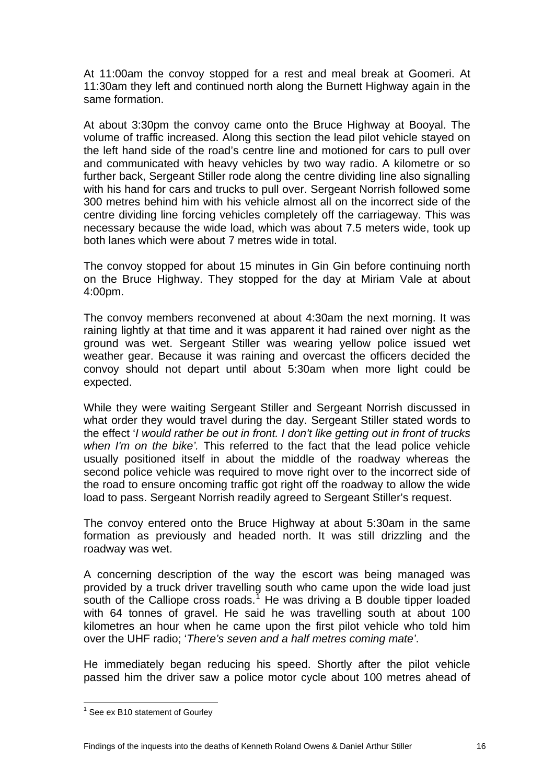At 11:00am the convoy stopped for a rest and meal break at Goomeri. At 11:30am they left and continued north along the Burnett Highway again in the same formation.

At about 3:30pm the convoy came onto the Bruce Highway at Booyal. The volume of traffic increased. Along this section the lead pilot vehicle stayed on the left hand side of the road's centre line and motioned for cars to pull over and communicated with heavy vehicles by two way radio. A kilometre or so further back, Sergeant Stiller rode along the centre dividing line also signalling with his hand for cars and trucks to pull over. Sergeant Norrish followed some 300 metres behind him with his vehicle almost all on the incorrect side of the centre dividing line forcing vehicles completely off the carriageway. This was necessary because the wide load, which was about 7.5 meters wide, took up both lanes which were about 7 metres wide in total.

The convoy stopped for about 15 minutes in Gin Gin before continuing north on the Bruce Highway. They stopped for the day at Miriam Vale at about 4:00pm.

The convoy members reconvened at about 4:30am the next morning. It was raining lightly at that time and it was apparent it had rained over night as the ground was wet. Sergeant Stiller was wearing yellow police issued wet weather gear. Because it was raining and overcast the officers decided the convoy should not depart until about 5:30am when more light could be expected.

While they were waiting Sergeant Stiller and Sergeant Norrish discussed in what order they would travel during the day. Sergeant Stiller stated words to the effect '*I would rather be out in front. I don't like getting out in front of trucks when I'm on the bike'.* This referred to the fact that the lead police vehicle usually positioned itself in about the middle of the roadway whereas the second police vehicle was required to move right over to the incorrect side of the road to ensure oncoming traffic got right off the roadway to allow the wide load to pass. Sergeant Norrish readily agreed to Sergeant Stiller's request.

The convoy entered onto the Bruce Highway at about 5:30am in the same formation as previously and headed north. It was still drizzling and the roadway was wet.

A concerning description of the way the escort was being managed was provided by a truck driver travelling south who came upon the wide load just south of the Calliope cross roads.<sup>7</sup> He was driving a B double tipper loaded with 64 tonnes of gravel. He said he was travelling south at about 100 kilometres an hour when he came upon the first pilot vehicle who told him over the UHF radio; '*There's seven and a half metres coming mate'*.

He immediately began reducing his speed. Shortly after the pilot vehicle passed him the driver saw a police motor cycle about 100 metres ahead of

<span id="page-19-0"></span>  $<sup>1</sup>$  See ex B10 statement of Gourley</sup>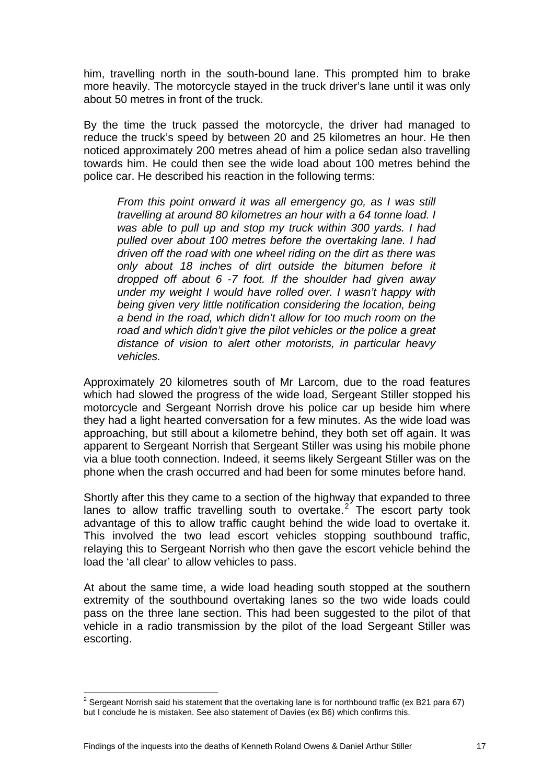him, travelling north in the south-bound lane. This prompted him to brake more heavily. The motorcycle stayed in the truck driver's lane until it was only about 50 metres in front of the truck.

By the time the truck passed the motorcycle, the driver had managed to reduce the truck's speed by between 20 and 25 kilometres an hour. He then noticed approximately 200 metres ahead of him a police sedan also travelling towards him. He could then see the wide load about 100 metres behind the police car. He described his reaction in the following terms:

*From this point onward it was all emergency go, as I was still travelling at around 80 kilometres an hour with a 64 tonne load. I was able to pull up and stop my truck within 300 yards. I had pulled over about 100 metres before the overtaking lane. I had driven off the road with one wheel riding on the dirt as there was only about 18 inches of dirt outside the bitumen before it dropped off about 6 -7 foot. If the shoulder had given away under my weight I would have rolled over. I wasn't happy with being given very little notification considering the location, being a bend in the road, which didn't allow for too much room on the road and which didn't give the pilot vehicles or the police a great distance of vision to alert other motorists, in particular heavy vehicles.*

Approximately 20 kilometres south of Mr Larcom, due to the road features which had slowed the progress of the wide load, Sergeant Stiller stopped his motorcycle and Sergeant Norrish drove his police car up beside him where they had a light hearted conversation for a few minutes. As the wide load was approaching, but still about a kilometre behind, they both set off again. It was apparent to Sergeant Norrish that Sergeant Stiller was using his mobile phone via a blue tooth connection. Indeed, it seems likely Sergeant Stiller was on the phone when the crash occurred and had been for some minutes before hand.

Shortly after this they came to a section of the highway that expanded to three lanes to allow traffic travelling south to overtake. $2^2$  $2^2$  The escort party took advantage of this to allow traffic caught behind the wide load to overtake it. This involved the two lead escort vehicles stopping southbound traffic, relaying this to Sergeant Norrish who then gave the escort vehicle behind the load the 'all clear' to allow vehicles to pass.

At about the same time, a wide load heading south stopped at the southern extremity of the southbound overtaking lanes so the two wide loads could pass on the three lane section. This had been suggested to the pilot of that vehicle in a radio transmission by the pilot of the load Sergeant Stiller was escorting.

<span id="page-20-0"></span>**EXECTS 2**<br><sup>2</sup> Sergeant Norrish said his statement that the overtaking lane is for northbound traffic (ex B21 para 67) but I conclude he is mistaken. See also statement of Davies (ex B6) which confirms this.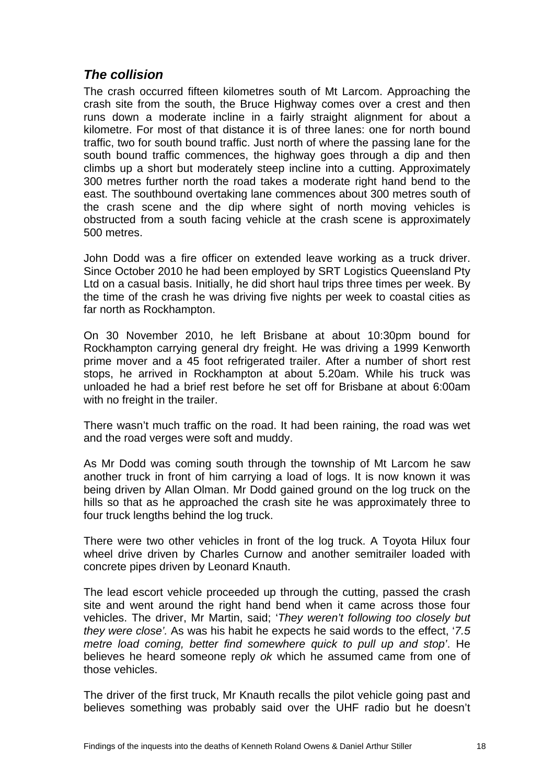#### <span id="page-21-0"></span>*The collision*

The crash occurred fifteen kilometres south of Mt Larcom. Approaching the crash site from the south, the Bruce Highway comes over a crest and then runs down a moderate incline in a fairly straight alignment for about a kilometre. For most of that distance it is of three lanes: one for north bound traffic, two for south bound traffic. Just north of where the passing lane for the south bound traffic commences, the highway goes through a dip and then climbs up a short but moderately steep incline into a cutting. Approximately 300 metres further north the road takes a moderate right hand bend to the east. The southbound overtaking lane commences about 300 metres south of the crash scene and the dip where sight of north moving vehicles is obstructed from a south facing vehicle at the crash scene is approximately 500 metres.

John Dodd was a fire officer on extended leave working as a truck driver. Since October 2010 he had been employed by SRT Logistics Queensland Pty Ltd on a casual basis. Initially, he did short haul trips three times per week. By the time of the crash he was driving five nights per week to coastal cities as far north as Rockhampton.

On 30 November 2010, he left Brisbane at about 10:30pm bound for Rockhampton carrying general dry freight. He was driving a 1999 Kenworth prime mover and a 45 foot refrigerated trailer. After a number of short rest stops, he arrived in Rockhampton at about 5.20am. While his truck was unloaded he had a brief rest before he set off for Brisbane at about 6:00am with no freight in the trailer.

There wasn't much traffic on the road. It had been raining, the road was wet and the road verges were soft and muddy.

As Mr Dodd was coming south through the township of Mt Larcom he saw another truck in front of him carrying a load of logs. It is now known it was being driven by Allan Olman. Mr Dodd gained ground on the log truck on the hills so that as he approached the crash site he was approximately three to four truck lengths behind the log truck.

There were two other vehicles in front of the log truck. A Toyota Hilux four wheel drive driven by Charles Curnow and another semitrailer loaded with concrete pipes driven by Leonard Knauth.

The lead escort vehicle proceeded up through the cutting, passed the crash site and went around the right hand bend when it came across those four vehicles. The driver, Mr Martin, said; '*They weren't following too closely but they were close'.* As was his habit he expects he said words to the effect, '*7.5 metre load coming, better find somewhere quick to pull up and stop'*. He believes he heard someone reply *ok* which he assumed came from one of those vehicles.

The driver of the first truck, Mr Knauth recalls the pilot vehicle going past and believes something was probably said over the UHF radio but he doesn't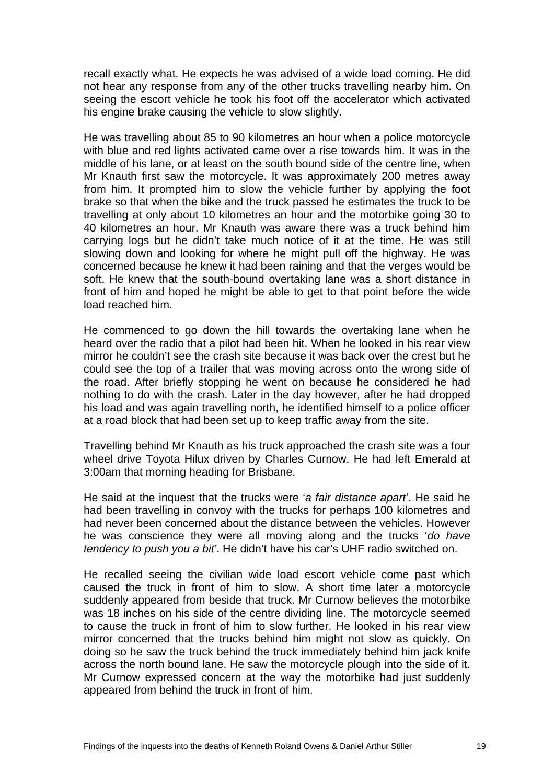recall exactly what. He expects he was advised of a wide load coming. He did not hear any response from any of the other trucks travelling nearby him. On seeing the escort vehicle he took his foot off the accelerator which activated his engine brake causing the vehicle to slow slightly.

He was travelling about 85 to 90 kilometres an hour when a police motorcycle with blue and red lights activated came over a rise towards him. It was in the middle of his lane, or at least on the south bound side of the centre line, when Mr Knauth first saw the motorcycle. It was approximately 200 metres away from him. It prompted him to slow the vehicle further by applying the foot brake so that when the bike and the truck passed he estimates the truck to be travelling at only about 10 kilometres an hour and the motorbike going 30 to 40 kilometres an hour. Mr Knauth was aware there was a truck behind him carrying logs but he didn't take much notice of it at the time. He was still slowing down and looking for where he might pull off the highway. He was concerned because he knew it had been raining and that the verges would be soft. He knew that the south-bound overtaking lane was a short distance in front of him and hoped he might be able to get to that point before the wide load reached him.

He commenced to go down the hill towards the overtaking lane when he heard over the radio that a pilot had been hit. When he looked in his rear view mirror he couldn't see the crash site because it was back over the crest but he could see the top of a trailer that was moving across onto the wrong side of the road. After briefly stopping he went on because he considered he had nothing to do with the crash. Later in the day however, after he had dropped his load and was again travelling north, he identified himself to a police officer at a road block that had been set up to keep traffic away from the site.

Travelling behind Mr Knauth as his truck approached the crash site was a four wheel drive Toyota Hilux driven by Charles Curnow. He had left Emerald at 3:00am that morning heading for Brisbane.

He said at the inquest that the trucks were '*a fair distance apart'*. He said he had been travelling in convoy with the trucks for perhaps 100 kilometres and had never been concerned about the distance between the vehicles. However he was conscience they were all moving along and the trucks '*do have tendency to push you a bit'*. He didn't have his car's UHF radio switched on.

He recalled seeing the civilian wide load escort vehicle come past which caused the truck in front of him to slow. A short time later a motorcycle suddenly appeared from beside that truck. Mr Curnow believes the motorbike was 18 inches on his side of the centre dividing line. The motorcycle seemed to cause the truck in front of him to slow further. He looked in his rear view mirror concerned that the trucks behind him might not slow as quickly. On doing so he saw the truck behind the truck immediately behind him jack knife across the north bound lane. He saw the motorcycle plough into the side of it. Mr Curnow expressed concern at the way the motorbike had just suddenly appeared from behind the truck in front of him.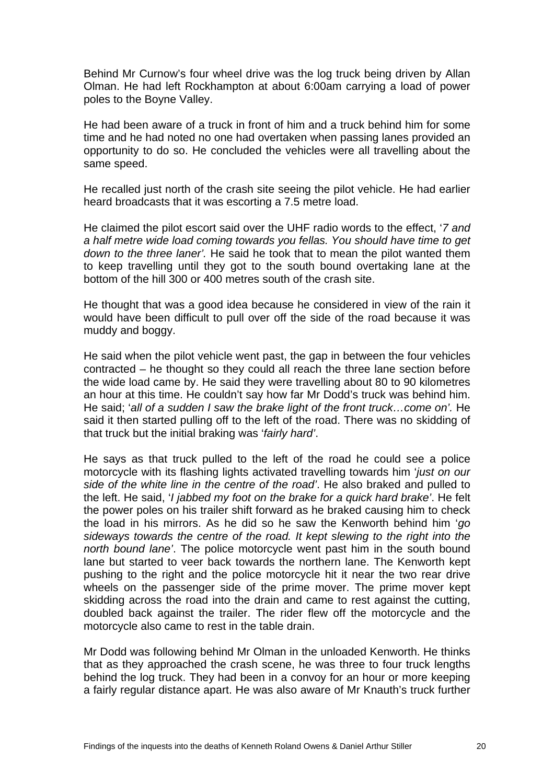Behind Mr Curnow's four wheel drive was the log truck being driven by Allan Olman. He had left Rockhampton at about 6:00am carrying a load of power poles to the Boyne Valley.

He had been aware of a truck in front of him and a truck behind him for some time and he had noted no one had overtaken when passing lanes provided an opportunity to do so. He concluded the vehicles were all travelling about the same speed.

He recalled just north of the crash site seeing the pilot vehicle. He had earlier heard broadcasts that it was escorting a 7.5 metre load.

He claimed the pilot escort said over the UHF radio words to the effect, '*7 and a half metre wide load coming towards you fellas. You should have time to get down to the three laner'.* He said he took that to mean the pilot wanted them to keep travelling until they got to the south bound overtaking lane at the bottom of the hill 300 or 400 metres south of the crash site.

He thought that was a good idea because he considered in view of the rain it would have been difficult to pull over off the side of the road because it was muddy and boggy.

He said when the pilot vehicle went past, the gap in between the four vehicles contracted – he thought so they could all reach the three lane section before the wide load came by. He said they were travelling about 80 to 90 kilometres an hour at this time. He couldn't say how far Mr Dodd's truck was behind him. He said; '*all of a sudden I saw the brake light of the front truck…come on'.* He said it then started pulling off to the left of the road. There was no skidding of that truck but the initial braking was '*fairly hard'*.

He says as that truck pulled to the left of the road he could see a police motorcycle with its flashing lights activated travelling towards him '*just on our side of the white line in the centre of the road'*. He also braked and pulled to the left. He said, '*I jabbed my foot on the brake for a quick hard brake'*. He felt the power poles on his trailer shift forward as he braked causing him to check the load in his mirrors. As he did so he saw the Kenworth behind him '*go sideways towards the centre of the road. It kept slewing to the right into the north bound lane'*. The police motorcycle went past him in the south bound lane but started to veer back towards the northern lane. The Kenworth kept pushing to the right and the police motorcycle hit it near the two rear drive wheels on the passenger side of the prime mover. The prime mover kept skidding across the road into the drain and came to rest against the cutting, doubled back against the trailer. The rider flew off the motorcycle and the motorcycle also came to rest in the table drain.

Mr Dodd was following behind Mr Olman in the unloaded Kenworth. He thinks that as they approached the crash scene, he was three to four truck lengths behind the log truck. They had been in a convoy for an hour or more keeping a fairly regular distance apart. He was also aware of Mr Knauth's truck further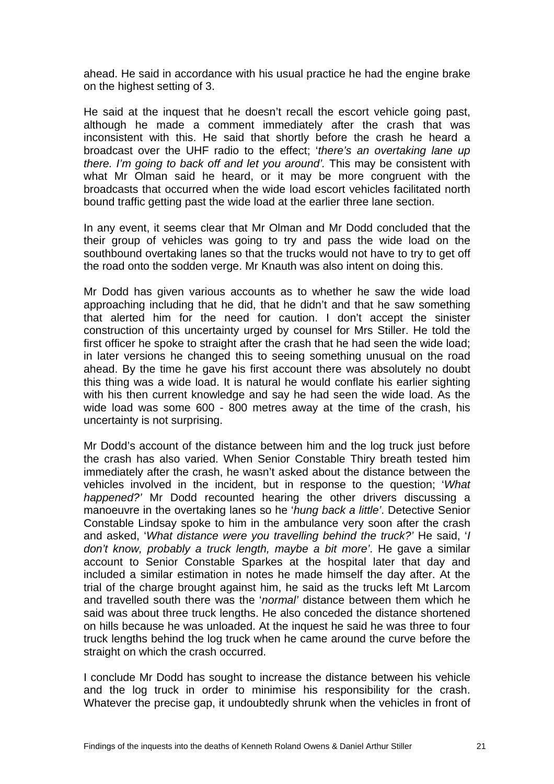ahead. He said in accordance with his usual practice he had the engine brake on the highest setting of 3.

He said at the inquest that he doesn't recall the escort vehicle going past, although he made a comment immediately after the crash that was inconsistent with this. He said that shortly before the crash he heard a broadcast over the UHF radio to the effect; '*there's an overtaking lane up there. I'm going to back off and let you around'.* This may be consistent with what Mr Olman said he heard, or it may be more congruent with the broadcasts that occurred when the wide load escort vehicles facilitated north bound traffic getting past the wide load at the earlier three lane section.

In any event, it seems clear that Mr Olman and Mr Dodd concluded that the their group of vehicles was going to try and pass the wide load on the southbound overtaking lanes so that the trucks would not have to try to get off the road onto the sodden verge. Mr Knauth was also intent on doing this.

Mr Dodd has given various accounts as to whether he saw the wide load approaching including that he did, that he didn't and that he saw something that alerted him for the need for caution. I don't accept the sinister construction of this uncertainty urged by counsel for Mrs Stiller. He told the first officer he spoke to straight after the crash that he had seen the wide load; in later versions he changed this to seeing something unusual on the road ahead. By the time he gave his first account there was absolutely no doubt this thing was a wide load. It is natural he would conflate his earlier sighting with his then current knowledge and say he had seen the wide load. As the wide load was some 600 - 800 metres away at the time of the crash, his uncertainty is not surprising.

Mr Dodd's account of the distance between him and the log truck just before the crash has also varied. When Senior Constable Thiry breath tested him immediately after the crash, he wasn't asked about the distance between the vehicles involved in the incident, but in response to the question; '*What happened?'* Mr Dodd recounted hearing the other drivers discussing a manoeuvre in the overtaking lanes so he '*hung back a little'*. Detective Senior Constable Lindsay spoke to him in the ambulance very soon after the crash and asked, '*What distance were you travelling behind the truck?'* He said, '*I don't know, probably a truck length, maybe a bit more'*. He gave a similar account to Senior Constable Sparkes at the hospital later that day and included a similar estimation in notes he made himself the day after. At the trial of the charge brought against him, he said as the trucks left Mt Larcom and travelled south there was the '*normal'* distance between them which he said was about three truck lengths. He also conceded the distance shortened on hills because he was unloaded. At the inquest he said he was three to four truck lengths behind the log truck when he came around the curve before the straight on which the crash occurred.

I conclude Mr Dodd has sought to increase the distance between his vehicle and the log truck in order to minimise his responsibility for the crash. Whatever the precise gap, it undoubtedly shrunk when the vehicles in front of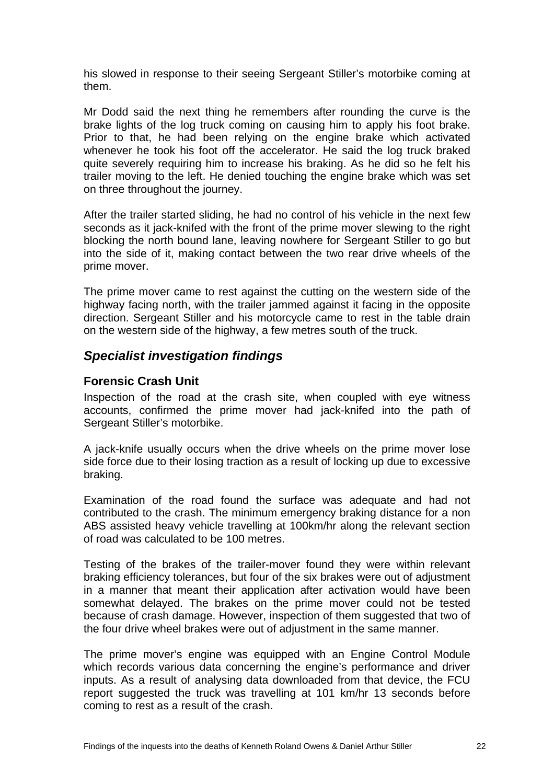<span id="page-25-0"></span>his slowed in response to their seeing Sergeant Stiller's motorbike coming at them.

Mr Dodd said the next thing he remembers after rounding the curve is the brake lights of the log truck coming on causing him to apply his foot brake. Prior to that, he had been relying on the engine brake which activated whenever he took his foot off the accelerator. He said the log truck braked quite severely requiring him to increase his braking. As he did so he felt his trailer moving to the left. He denied touching the engine brake which was set on three throughout the journey.

After the trailer started sliding, he had no control of his vehicle in the next few seconds as it jack-knifed with the front of the prime mover slewing to the right blocking the north bound lane, leaving nowhere for Sergeant Stiller to go but into the side of it, making contact between the two rear drive wheels of the prime mover.

The prime mover came to rest against the cutting on the western side of the highway facing north, with the trailer jammed against it facing in the opposite direction. Sergeant Stiller and his motorcycle came to rest in the table drain on the western side of the highway, a few metres south of the truck.

#### *Specialist investigation findings*

#### **Forensic Crash Unit**

Inspection of the road at the crash site, when coupled with eye witness accounts, confirmed the prime mover had jack-knifed into the path of Sergeant Stiller's motorbike.

A jack-knife usually occurs when the drive wheels on the prime mover lose side force due to their losing traction as a result of locking up due to excessive braking.

Examination of the road found the surface was adequate and had not contributed to the crash. The minimum emergency braking distance for a non ABS assisted heavy vehicle travelling at 100km/hr along the relevant section of road was calculated to be 100 metres.

Testing of the brakes of the trailer-mover found they were within relevant braking efficiency tolerances, but four of the six brakes were out of adjustment in a manner that meant their application after activation would have been somewhat delayed. The brakes on the prime mover could not be tested because of crash damage. However, inspection of them suggested that two of the four drive wheel brakes were out of adjustment in the same manner.

The prime mover's engine was equipped with an Engine Control Module which records various data concerning the engine's performance and driver inputs. As a result of analysing data downloaded from that device, the FCU report suggested the truck was travelling at 101 km/hr 13 seconds before coming to rest as a result of the crash.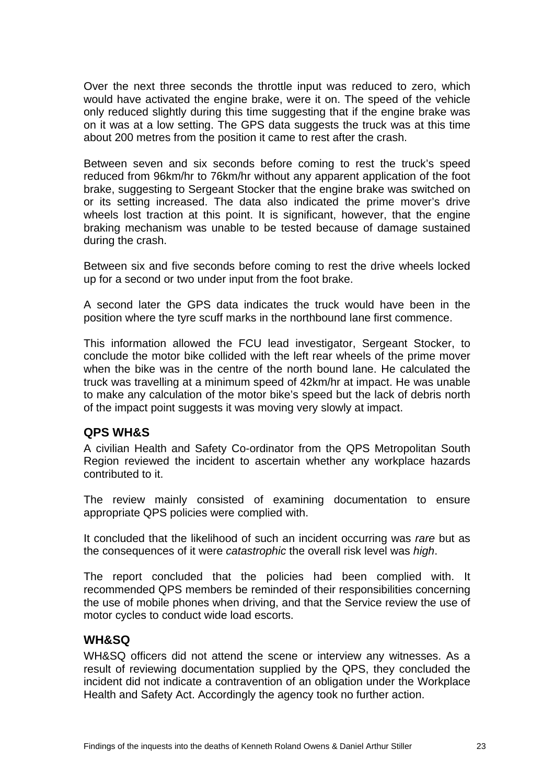<span id="page-26-0"></span>Over the next three seconds the throttle input was reduced to zero, which would have activated the engine brake, were it on. The speed of the vehicle only reduced slightly during this time suggesting that if the engine brake was on it was at a low setting. The GPS data suggests the truck was at this time about 200 metres from the position it came to rest after the crash.

Between seven and six seconds before coming to rest the truck's speed reduced from 96km/hr to 76km/hr without any apparent application of the foot brake, suggesting to Sergeant Stocker that the engine brake was switched on or its setting increased. The data also indicated the prime mover's drive wheels lost traction at this point. It is significant, however, that the engine braking mechanism was unable to be tested because of damage sustained during the crash.

Between six and five seconds before coming to rest the drive wheels locked up for a second or two under input from the foot brake.

A second later the GPS data indicates the truck would have been in the position where the tyre scuff marks in the northbound lane first commence.

This information allowed the FCU lead investigator, Sergeant Stocker, to conclude the motor bike collided with the left rear wheels of the prime mover when the bike was in the centre of the north bound lane. He calculated the truck was travelling at a minimum speed of 42km/hr at impact. He was unable to make any calculation of the motor bike's speed but the lack of debris north of the impact point suggests it was moving very slowly at impact.

#### **QPS WH&S**

A civilian Health and Safety Co-ordinator from the QPS Metropolitan South Region reviewed the incident to ascertain whether any workplace hazards contributed to it.

The review mainly consisted of examining documentation to ensure appropriate QPS policies were complied with.

It concluded that the likelihood of such an incident occurring was *rare* but as the consequences of it were *catastrophic* the overall risk level was *high*.

The report concluded that the policies had been complied with. It recommended QPS members be reminded of their responsibilities concerning the use of mobile phones when driving, and that the Service review the use of motor cycles to conduct wide load escorts.

#### **WH&SQ**

WH&SQ officers did not attend the scene or interview any witnesses. As a result of reviewing documentation supplied by the QPS, they concluded the incident did not indicate a contravention of an obligation under the Workplace Health and Safety Act. Accordingly the agency took no further action.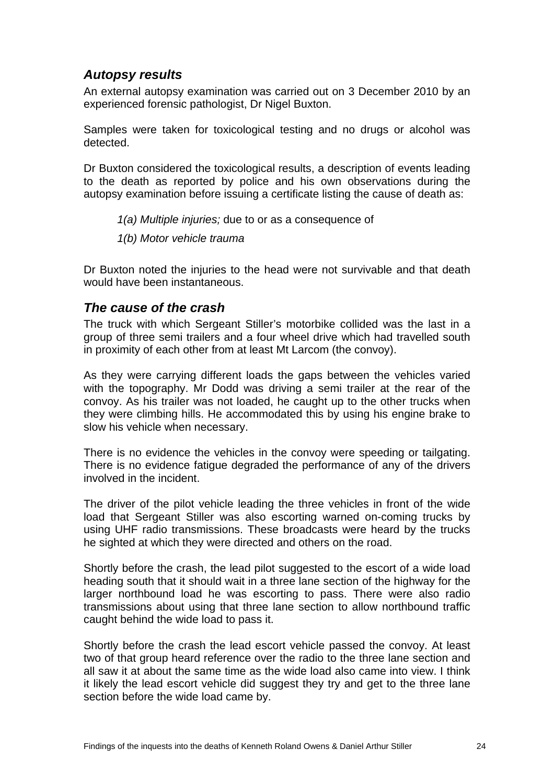#### <span id="page-27-0"></span>*Autopsy results*

An external autopsy examination was carried out on 3 December 2010 by an experienced forensic pathologist, Dr Nigel Buxton.

Samples were taken for toxicological testing and no drugs or alcohol was detected.

Dr Buxton considered the toxicological results, a description of events leading to the death as reported by police and his own observations during the autopsy examination before issuing a certificate listing the cause of death as:

- *1(a) Multiple injuries;* due to or as a consequence of
- *1(b) Motor vehicle trauma*

Dr Buxton noted the injuries to the head were not survivable and that death would have been instantaneous.

#### *The cause of the crash*

The truck with which Sergeant Stiller's motorbike collided was the last in a group of three semi trailers and a four wheel drive which had travelled south in proximity of each other from at least Mt Larcom (the convoy).

As they were carrying different loads the gaps between the vehicles varied with the topography. Mr Dodd was driving a semi trailer at the rear of the convoy. As his trailer was not loaded, he caught up to the other trucks when they were climbing hills. He accommodated this by using his engine brake to slow his vehicle when necessary.

There is no evidence the vehicles in the convoy were speeding or tailgating. There is no evidence fatigue degraded the performance of any of the drivers involved in the incident.

The driver of the pilot vehicle leading the three vehicles in front of the wide load that Sergeant Stiller was also escorting warned on-coming trucks by using UHF radio transmissions. These broadcasts were heard by the trucks he sighted at which they were directed and others on the road.

Shortly before the crash, the lead pilot suggested to the escort of a wide load heading south that it should wait in a three lane section of the highway for the larger northbound load he was escorting to pass. There were also radio transmissions about using that three lane section to allow northbound traffic caught behind the wide load to pass it.

Shortly before the crash the lead escort vehicle passed the convoy. At least two of that group heard reference over the radio to the three lane section and all saw it at about the same time as the wide load also came into view. I think it likely the lead escort vehicle did suggest they try and get to the three lane section before the wide load came by.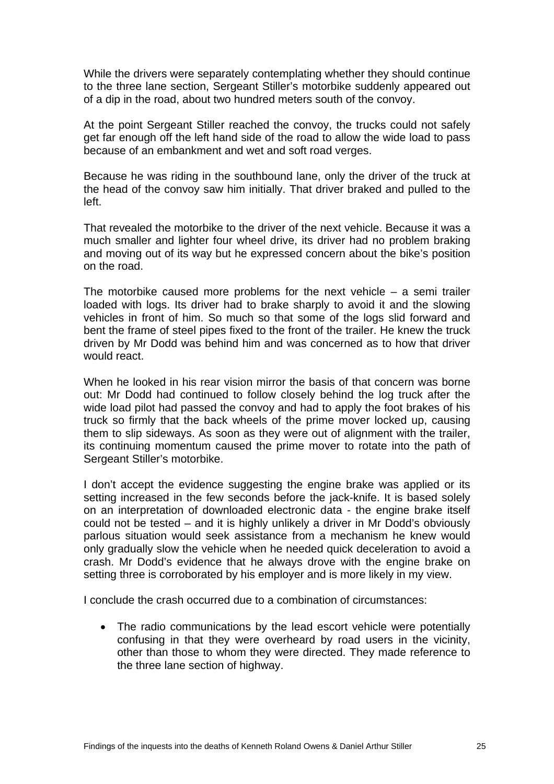While the drivers were separately contemplating whether they should continue to the three lane section, Sergeant Stiller's motorbike suddenly appeared out of a dip in the road, about two hundred meters south of the convoy.

At the point Sergeant Stiller reached the convoy, the trucks could not safely get far enough off the left hand side of the road to allow the wide load to pass because of an embankment and wet and soft road verges.

Because he was riding in the southbound lane, only the driver of the truck at the head of the convoy saw him initially. That driver braked and pulled to the left.

That revealed the motorbike to the driver of the next vehicle. Because it was a much smaller and lighter four wheel drive, its driver had no problem braking and moving out of its way but he expressed concern about the bike's position on the road.

The motorbike caused more problems for the next vehicle  $-$  a semi trailer loaded with logs. Its driver had to brake sharply to avoid it and the slowing vehicles in front of him. So much so that some of the logs slid forward and bent the frame of steel pipes fixed to the front of the trailer. He knew the truck driven by Mr Dodd was behind him and was concerned as to how that driver would react.

When he looked in his rear vision mirror the basis of that concern was borne out: Mr Dodd had continued to follow closely behind the log truck after the wide load pilot had passed the convoy and had to apply the foot brakes of his truck so firmly that the back wheels of the prime mover locked up, causing them to slip sideways. As soon as they were out of alignment with the trailer, its continuing momentum caused the prime mover to rotate into the path of Sergeant Stiller's motorbike.

I don't accept the evidence suggesting the engine brake was applied or its setting increased in the few seconds before the jack-knife. It is based solely on an interpretation of downloaded electronic data - the engine brake itself could not be tested – and it is highly unlikely a driver in Mr Dodd's obviously parlous situation would seek assistance from a mechanism he knew would only gradually slow the vehicle when he needed quick deceleration to avoid a crash. Mr Dodd's evidence that he always drove with the engine brake on setting three is corroborated by his employer and is more likely in my view.

I conclude the crash occurred due to a combination of circumstances:

• The radio communications by the lead escort vehicle were potentially confusing in that they were overheard by road users in the vicinity, other than those to whom they were directed. They made reference to the three lane section of highway.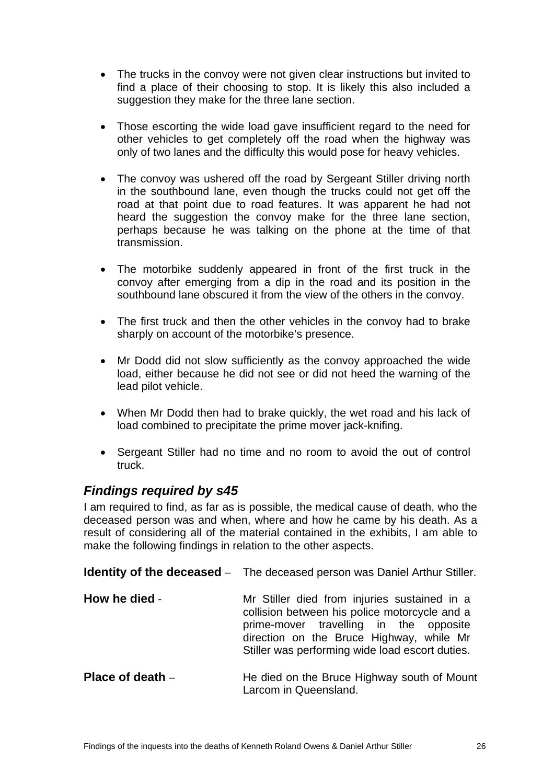- <span id="page-29-0"></span>• The trucks in the convoy were not given clear instructions but invited to find a place of their choosing to stop. It is likely this also included a suggestion they make for the three lane section.
- Those escorting the wide load gave insufficient regard to the need for other vehicles to get completely off the road when the highway was only of two lanes and the difficulty this would pose for heavy vehicles.
- The convoy was ushered off the road by Sergeant Stiller driving north in the southbound lane, even though the trucks could not get off the road at that point due to road features. It was apparent he had not heard the suggestion the convoy make for the three lane section, perhaps because he was talking on the phone at the time of that transmission.
- The motorbike suddenly appeared in front of the first truck in the convoy after emerging from a dip in the road and its position in the southbound lane obscured it from the view of the others in the convoy.
- The first truck and then the other vehicles in the convoy had to brake sharply on account of the motorbike's presence.
- Mr Dodd did not slow sufficiently as the convoy approached the wide load, either because he did not see or did not heed the warning of the lead pilot vehicle.
- When Mr Dodd then had to brake quickly, the wet road and his lack of load combined to precipitate the prime mover jack-knifing.
- Sergeant Stiller had no time and no room to avoid the out of control truck.

#### *Findings required by s45*

I am required to find, as far as is possible, the medical cause of death, who the deceased person was and when, where and how he came by his death. As a result of considering all of the material contained in the exhibits, I am able to make the following findings in relation to the other aspects.

|                    | <b>Identity of the deceased</b> – The deceased person was Daniel Arthur Stiller.                                                                                                                                                       |
|--------------------|----------------------------------------------------------------------------------------------------------------------------------------------------------------------------------------------------------------------------------------|
| How he died -      | Mr Stiller died from injuries sustained in a<br>collision between his police motorcycle and a<br>prime-mover travelling in the opposite<br>direction on the Bruce Highway, while Mr<br>Stiller was performing wide load escort duties. |
| Place of death $-$ | He died on the Bruce Highway south of Mount<br>Larcom in Queensland.                                                                                                                                                                   |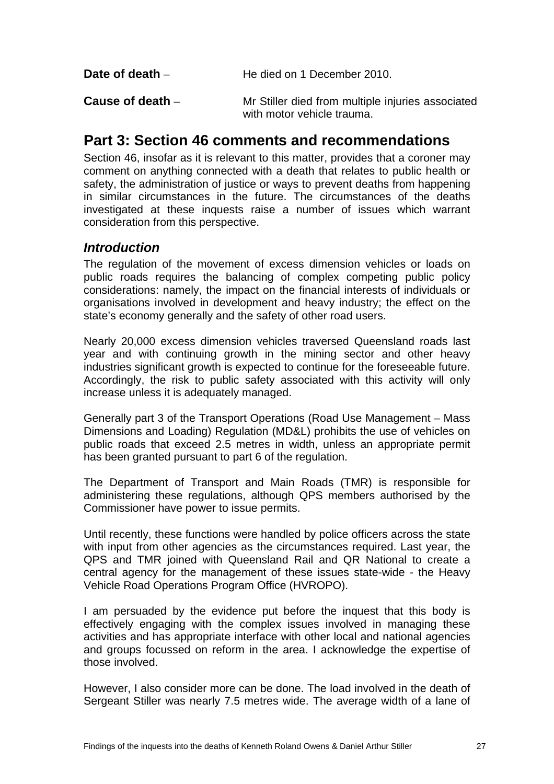<span id="page-30-0"></span>

| Date of death $-$ | He died on 1 December 2010.                       |
|-------------------|---------------------------------------------------|
| Cause of death –  | Mr Stiller died from multiple injuries associated |

### **Part 3: Section 46 comments and recommendations**

Section 46, insofar as it is relevant to this matter, provides that a coroner may comment on anything connected with a death that relates to public health or safety, the administration of justice or ways to prevent deaths from happening in similar circumstances in the future. The circumstances of the deaths investigated at these inquests raise a number of issues which warrant consideration from this perspective.

with motor vehicle trauma.

#### *Introduction*

The regulation of the movement of excess dimension vehicles or loads on public roads requires the balancing of complex competing public policy considerations: namely, the impact on the financial interests of individuals or organisations involved in development and heavy industry; the effect on the state's economy generally and the safety of other road users.

Nearly 20,000 excess dimension vehicles traversed Queensland roads last year and with continuing growth in the mining sector and other heavy industries significant growth is expected to continue for the foreseeable future. Accordingly, the risk to public safety associated with this activity will only increase unless it is adequately managed.

Generally part 3 of the Transport Operations (Road Use Management – Mass Dimensions and Loading) Regulation (MD&L) prohibits the use of vehicles on public roads that exceed 2.5 metres in width, unless an appropriate permit has been granted pursuant to part 6 of the regulation.

The Department of Transport and Main Roads (TMR) is responsible for administering these regulations, although QPS members authorised by the Commissioner have power to issue permits.

Until recently, these functions were handled by police officers across the state with input from other agencies as the circumstances required. Last year, the QPS and TMR joined with Queensland Rail and QR National to create a central agency for the management of these issues state-wide - the Heavy Vehicle Road Operations Program Office (HVROPO).

I am persuaded by the evidence put before the inquest that this body is effectively engaging with the complex issues involved in managing these activities and has appropriate interface with other local and national agencies and groups focussed on reform in the area. I acknowledge the expertise of those involved.

However, I also consider more can be done. The load involved in the death of Sergeant Stiller was nearly 7.5 metres wide. The average width of a lane of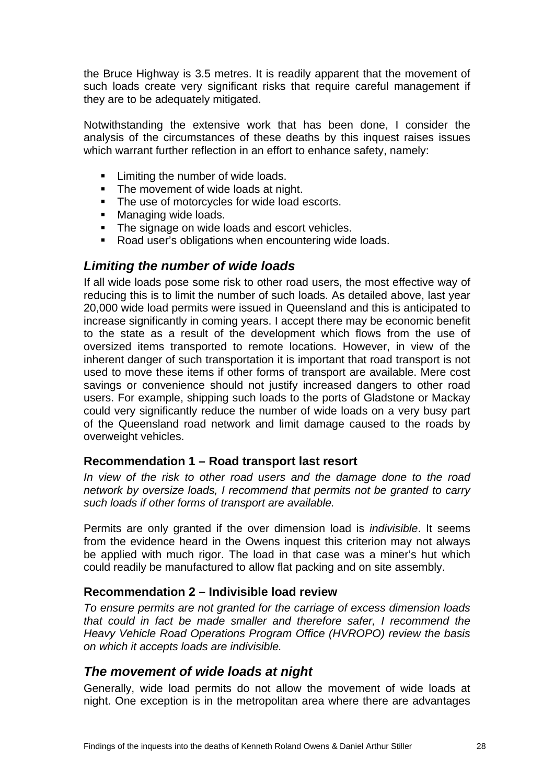<span id="page-31-0"></span>the Bruce Highway is 3.5 metres. It is readily apparent that the movement of such loads create very significant risks that require careful management if they are to be adequately mitigated.

Notwithstanding the extensive work that has been done, I consider the analysis of the circumstances of these deaths by this inquest raises issues which warrant further reflection in an effort to enhance safety, namely:

- **EXECUTE:** Limiting the number of wide loads.
- The movement of wide loads at night.
- The use of motorcycles for wide load escorts.
- **Managing wide loads.**
- The signage on wide loads and escort vehicles.
- Road user's obligations when encountering wide loads.

#### *Limiting the number of wide loads*

If all wide loads pose some risk to other road users, the most effective way of reducing this is to limit the number of such loads. As detailed above, last year 20,000 wide load permits were issued in Queensland and this is anticipated to increase significantly in coming years. I accept there may be economic benefit to the state as a result of the development which flows from the use of oversized items transported to remote locations. However, in view of the inherent danger of such transportation it is important that road transport is not used to move these items if other forms of transport are available. Mere cost savings or convenience should not justify increased dangers to other road users. For example, shipping such loads to the ports of Gladstone or Mackay could very significantly reduce the number of wide loads on a very busy part of the Queensland road network and limit damage caused to the roads by overweight vehicles.

#### **Recommendation 1 – Road transport last resort**

*In view of the risk to other road users and the damage done to the road network by oversize loads, I recommend that permits not be granted to carry such loads if other forms of transport are available.* 

Permits are only granted if the over dimension load is *indivisible*. It seems from the evidence heard in the Owens inquest this criterion may not always be applied with much rigor. The load in that case was a miner's hut which could readily be manufactured to allow flat packing and on site assembly.

#### **Recommendation 2 – Indivisible load review**

*To ensure permits are not granted for the carriage of excess dimension loads that could in fact be made smaller and therefore safer, I recommend the Heavy Vehicle Road Operations Program Office (HVROPO) review the basis on which it accepts loads are indivisible.* 

#### *The movement of wide loads at night*

Generally, wide load permits do not allow the movement of wide loads at night. One exception is in the metropolitan area where there are advantages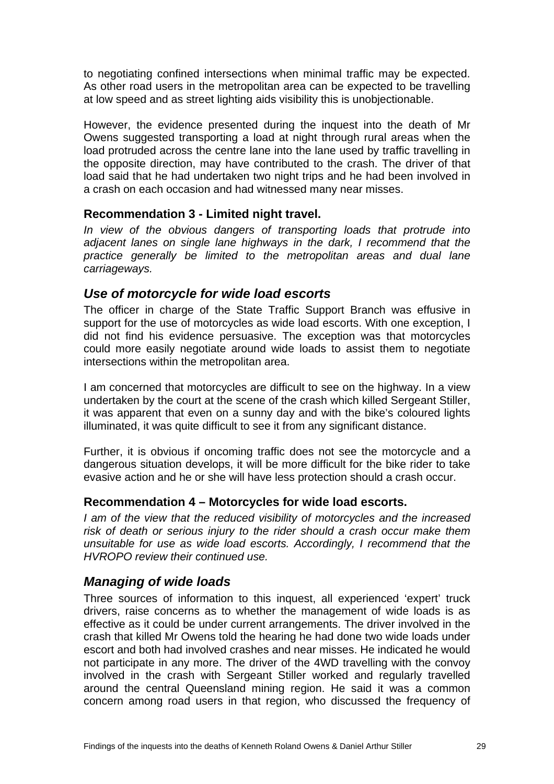<span id="page-32-0"></span>to negotiating confined intersections when minimal traffic may be expected. As other road users in the metropolitan area can be expected to be travelling at low speed and as street lighting aids visibility this is unobjectionable.

However, the evidence presented during the inquest into the death of Mr Owens suggested transporting a load at night through rural areas when the load protruded across the centre lane into the lane used by traffic travelling in the opposite direction, may have contributed to the crash. The driver of that load said that he had undertaken two night trips and he had been involved in a crash on each occasion and had witnessed many near misses.

#### **Recommendation 3 - Limited night travel.**

*In view of the obvious dangers of transporting loads that protrude into adjacent lanes on single lane highways in the dark, I recommend that the practice generally be limited to the metropolitan areas and dual lane carriageways.* 

#### *Use of motorcycle for wide load escorts*

The officer in charge of the State Traffic Support Branch was effusive in support for the use of motorcycles as wide load escorts. With one exception, I did not find his evidence persuasive. The exception was that motorcycles could more easily negotiate around wide loads to assist them to negotiate intersections within the metropolitan area.

I am concerned that motorcycles are difficult to see on the highway. In a view undertaken by the court at the scene of the crash which killed Sergeant Stiller, it was apparent that even on a sunny day and with the bike's coloured lights illuminated, it was quite difficult to see it from any significant distance.

Further, it is obvious if oncoming traffic does not see the motorcycle and a dangerous situation develops, it will be more difficult for the bike rider to take evasive action and he or she will have less protection should a crash occur.

#### **Recommendation 4 – Motorcycles for wide load escorts.**

*I am of the view that the reduced visibility of motorcycles and the increased risk of death or serious injury to the rider should a crash occur make them unsuitable for use as wide load escorts. Accordingly, I recommend that the HVROPO review their continued use.* 

#### *Managing of wide loads*

Three sources of information to this inquest, all experienced 'expert' truck drivers, raise concerns as to whether the management of wide loads is as effective as it could be under current arrangements. The driver involved in the crash that killed Mr Owens told the hearing he had done two wide loads under escort and both had involved crashes and near misses. He indicated he would not participate in any more. The driver of the 4WD travelling with the convoy involved in the crash with Sergeant Stiller worked and regularly travelled around the central Queensland mining region. He said it was a common concern among road users in that region, who discussed the frequency of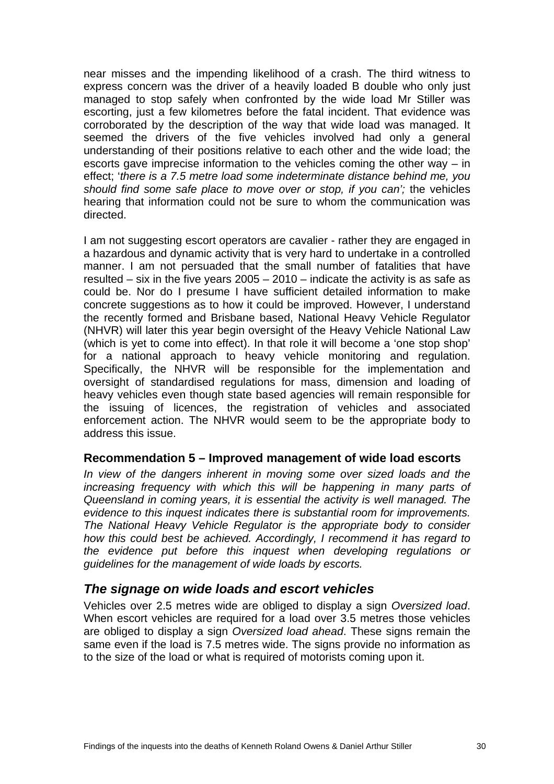<span id="page-33-0"></span>near misses and the impending likelihood of a crash. The third witness to express concern was the driver of a heavily loaded B double who only just managed to stop safely when confronted by the wide load Mr Stiller was escorting, just a few kilometres before the fatal incident. That evidence was corroborated by the description of the way that wide load was managed. It seemed the drivers of the five vehicles involved had only a general understanding of their positions relative to each other and the wide load; the escorts gave imprecise information to the vehicles coming the other way – in effect; '*there is a 7.5 metre load some indeterminate distance behind me, you should find some safe place to move over or stop, if you can';* the vehicles hearing that information could not be sure to whom the communication was directed.

I am not suggesting escort operators are cavalier - rather they are engaged in a hazardous and dynamic activity that is very hard to undertake in a controlled manner. I am not persuaded that the small number of fatalities that have resulted – six in the five years 2005 – 2010 – indicate the activity is as safe as could be. Nor do I presume I have sufficient detailed information to make concrete suggestions as to how it could be improved. However, I understand the recently formed and Brisbane based, National Heavy Vehicle Regulator (NHVR) will later this year begin oversight of the Heavy Vehicle National Law (which is yet to come into effect). In that role it will become a 'one stop shop' for a national approach to heavy vehicle monitoring and regulation. Specifically, the NHVR will be responsible for the implementation and oversight of standardised regulations for mass, dimension and loading of heavy vehicles even though state based agencies will remain responsible for the issuing of licences, the registration of vehicles and associated enforcement action. The NHVR would seem to be the appropriate body to address this issue.

#### **Recommendation 5 – Improved management of wide load escorts**

*In view of the dangers inherent in moving some over sized loads and the increasing frequency with which this will be happening in many parts of Queensland in coming years, it is essential the activity is well managed. The evidence to this inquest indicates there is substantial room for improvements. The National Heavy Vehicle Regulator is the appropriate body to consider how this could best be achieved. Accordingly, I recommend it has regard to the evidence put before this inquest when developing regulations or guidelines for the management of wide loads by escorts.* 

#### *The signage on wide loads and escort vehicles*

Vehicles over 2.5 metres wide are obliged to display a sign *Oversized load*. When escort vehicles are required for a load over 3.5 metres those vehicles are obliged to display a sign *Oversized load ahead*. These signs remain the same even if the load is 7.5 metres wide. The signs provide no information as to the size of the load or what is required of motorists coming upon it.